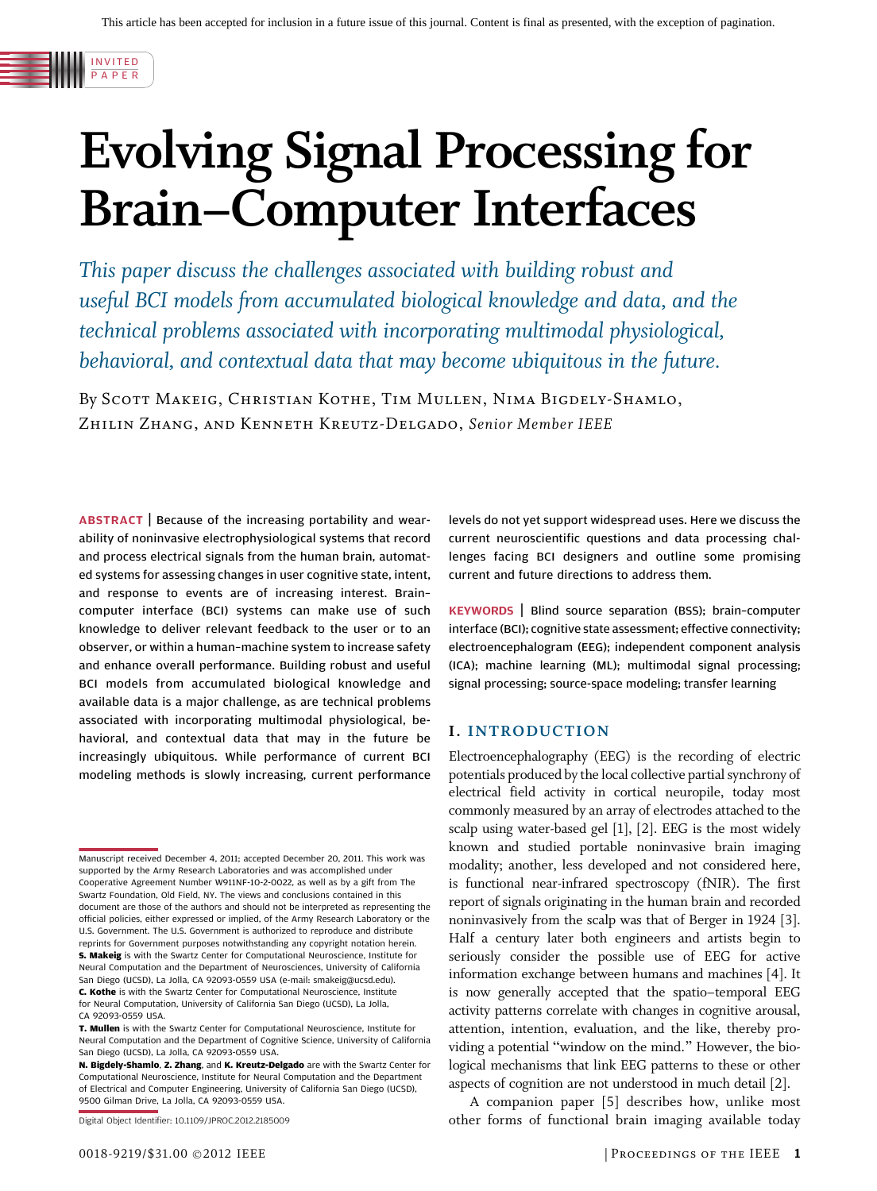

# Evolving Signal Processing for Brain–Computer Interfaces

This paper discuss the challenges associated with building robust and useful BCI models from accumulated biological knowledge and data, and the technical problems associated with incorporating multimodal physiological, behavioral, and contextual data that may become ubiquitous in the future.

By Scott Makeig, Christian Kothe, Tim Mullen, Nima Bigdely-Shamlo, Zhilin Zhang, and Kenneth Kreutz-Delgado, Senior Member IEEE

ABSTRACT | Because of the increasing portability and wearability of noninvasive electrophysiological systems that record and process electrical signals from the human brain, automated systems for assessing changes in user cognitive state, intent, and response to events are of increasing interest. Brain– computer interface (BCI) systems can make use of such knowledge to deliver relevant feedback to the user or to an observer, or within a human–machine system to increase safety and enhance overall performance. Building robust and useful BCI models from accumulated biological knowledge and available data is a major challenge, as are technical problems associated with incorporating multimodal physiological, behavioral, and contextual data that may in the future be increasingly ubiquitous. While performance of current BCI modeling methods is slowly increasing, current performance

Manuscript received December 4, 2011; accepted December 20, 2011. This work was supported by the Army Research Laboratories and was accomplished under Cooperative Agreement Number W911NF-10-2-0022, as well as by a gift from The Swartz Foundation, Old Field, NY. The views and conclusions contained in this document are those of the authors and should not be interpreted as representing the official policies, either expressed or implied, of the Army Research Laboratory or the U.S. Government. The U.S. Government is authorized to reproduce and distribute reprints for Government purposes notwithstanding any copyright notation herein. **S. Makeig** is with the Swartz Center for Computational Neuroscience, Institute for Neural Computation and the Department of Neurosciences, University of California San Diego (UCSD), La Jolla, CA 92093-0559 USA (e-mail: smakeig@ucsd.edu). C. Kothe is with the Swartz Center for Computational Neuroscience, Institute for Neural Computation, University of California San Diego (UCSD), La Jolla, CA 92093-0559 USA.

levels do not yet support widespread uses. Here we discuss the current neuroscientific questions and data processing challenges facing BCI designers and outline some promising current and future directions to address them.

KEYWORDS | Blind source separation (BSS); brain–computer interface (BCI); cognitive state assessment; effective connectivity; electroencephalogram (EEG); independent component analysis (ICA); machine learning (ML); multimodal signal processing; signal processing; source-space modeling; transfer learning

## I. INTRODUCTION

Electroencephalography (EEG) is the recording of electric potentials produced by the local collective partial synchrony of electrical field activity in cortical neuropile, today most commonly measured by an array of electrodes attached to the scalp using water-based gel [1], [2]. EEG is the most widely known and studied portable noninvasive brain imaging modality; another, less developed and not considered here, is functional near-infrared spectroscopy (fNIR). The first report of signals originating in the human brain and recorded noninvasively from the scalp was that of Berger in 1924 [3]. Half a century later both engineers and artists begin to seriously consider the possible use of EEG for active information exchange between humans and machines [4]. It is now generally accepted that the spatio–temporal EEG activity patterns correlate with changes in cognitive arousal, attention, intention, evaluation, and the like, thereby providing a potential "window on the mind." However, the biological mechanisms that link EEG patterns to these or other aspects of cognition are not understood in much detail [2].

A companion paper [5] describes how, unlike most other forms of functional brain imaging available today

T. Mullen is with the Swartz Center for Computational Neuroscience, Institute for Neural Computation and the Department of Cognitive Science, University of California San Diego (UCSD), La Jolla, CA 92093-0559 USA.

N. Bigdely-Shamlo, Z. Zhang, and K. Kreutz-Delgado are with the Swartz Center for Computational Neuroscience, Institute for Neural Computation and the Department of Electrical and Computer Engineering, University of California San Diego (UCSD), 9500 Gilman Drive, La Jolla, CA 92093-0559 USA.

Digital Object Identifier: 10.1109/JPROC.2012.2185009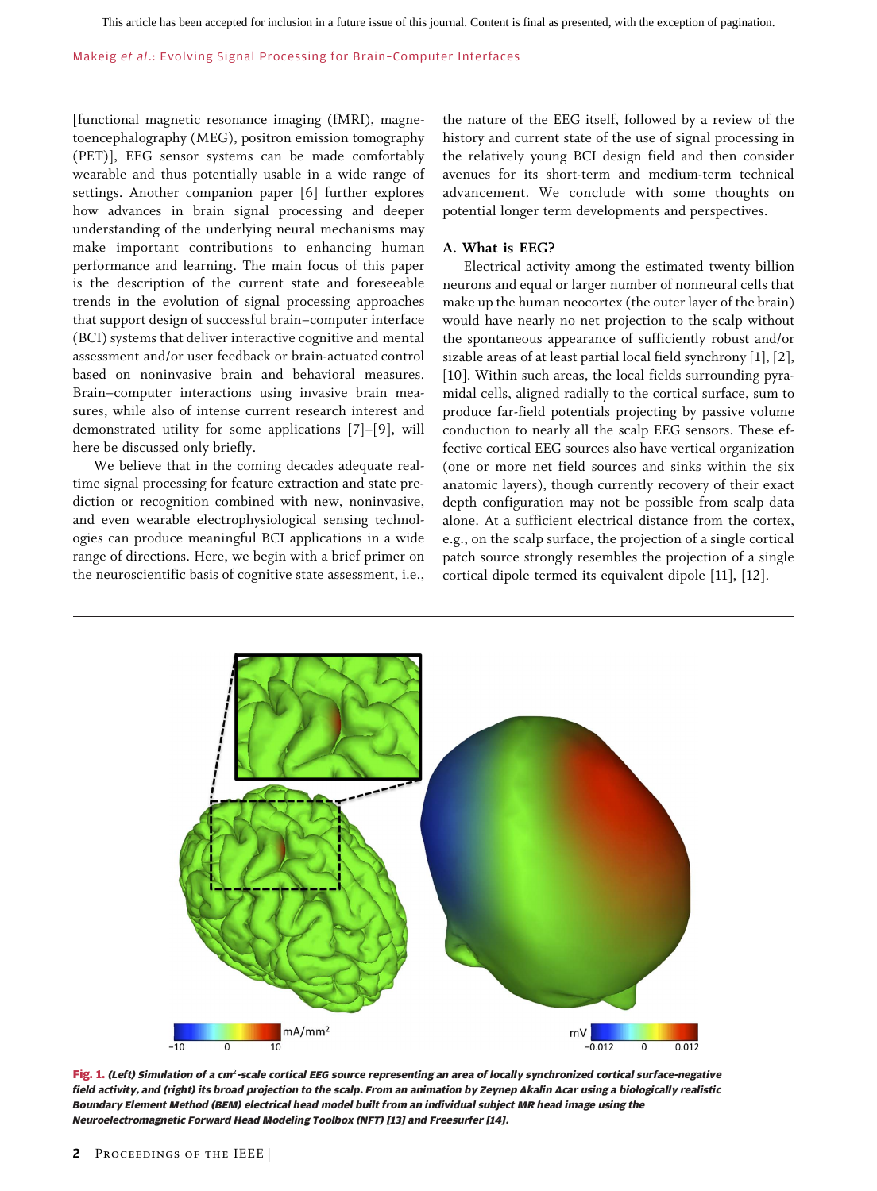[functional magnetic resonance imaging (fMRI), magnetoencephalography (MEG), positron emission tomography (PET)], EEG sensor systems can be made comfortably wearable and thus potentially usable in a wide range of settings. Another companion paper [6] further explores how advances in brain signal processing and deeper understanding of the underlying neural mechanisms may make important contributions to enhancing human performance and learning. The main focus of this paper is the description of the current state and foreseeable trends in the evolution of signal processing approaches that support design of successful brain–computer interface (BCI) systems that deliver interactive cognitive and mental assessment and/or user feedback or brain-actuated control based on noninvasive brain and behavioral measures. Brain–computer interactions using invasive brain measures, while also of intense current research interest and demonstrated utility for some applications [7]–[9], will here be discussed only briefly.

We believe that in the coming decades adequate realtime signal processing for feature extraction and state prediction or recognition combined with new, noninvasive, and even wearable electrophysiological sensing technologies can produce meaningful BCI applications in a wide range of directions. Here, we begin with a brief primer on the neuroscientific basis of cognitive state assessment, i.e.,

the nature of the EEG itself, followed by a review of the history and current state of the use of signal processing in the relatively young BCI design field and then consider avenues for its short-term and medium-term technical advancement. We conclude with some thoughts on potential longer term developments and perspectives.

## A. What is EEG?

Electrical activity among the estimated twenty billion neurons and equal or larger number of nonneural cells that make up the human neocortex (the outer layer of the brain) would have nearly no net projection to the scalp without the spontaneous appearance of sufficiently robust and/or sizable areas of at least partial local field synchrony [1], [2], [10]. Within such areas, the local fields surrounding pyramidal cells, aligned radially to the cortical surface, sum to produce far-field potentials projecting by passive volume conduction to nearly all the scalp EEG sensors. These effective cortical EEG sources also have vertical organization (one or more net field sources and sinks within the six anatomic layers), though currently recovery of their exact depth configuration may not be possible from scalp data alone. At a sufficient electrical distance from the cortex, e.g., on the scalp surface, the projection of a single cortical patch source strongly resembles the projection of a single cortical dipole termed its equivalent dipole [11], [12].



Fig. 1. (Left) Simulation of a cm<sup>2</sup>-scale cortical EEG source representing an area of locally synchronized cortical surface-negative field activity, and (right) its broad projection to the scalp. From an animation by Zeynep Akalin Acar using a biologically realistic Boundary Element Method (BEM) electrical head model built from an individual subject MR head image using the Neuroelectromagnetic Forward Head Modeling Toolbox (NFT) [13] and Freesurfer [14].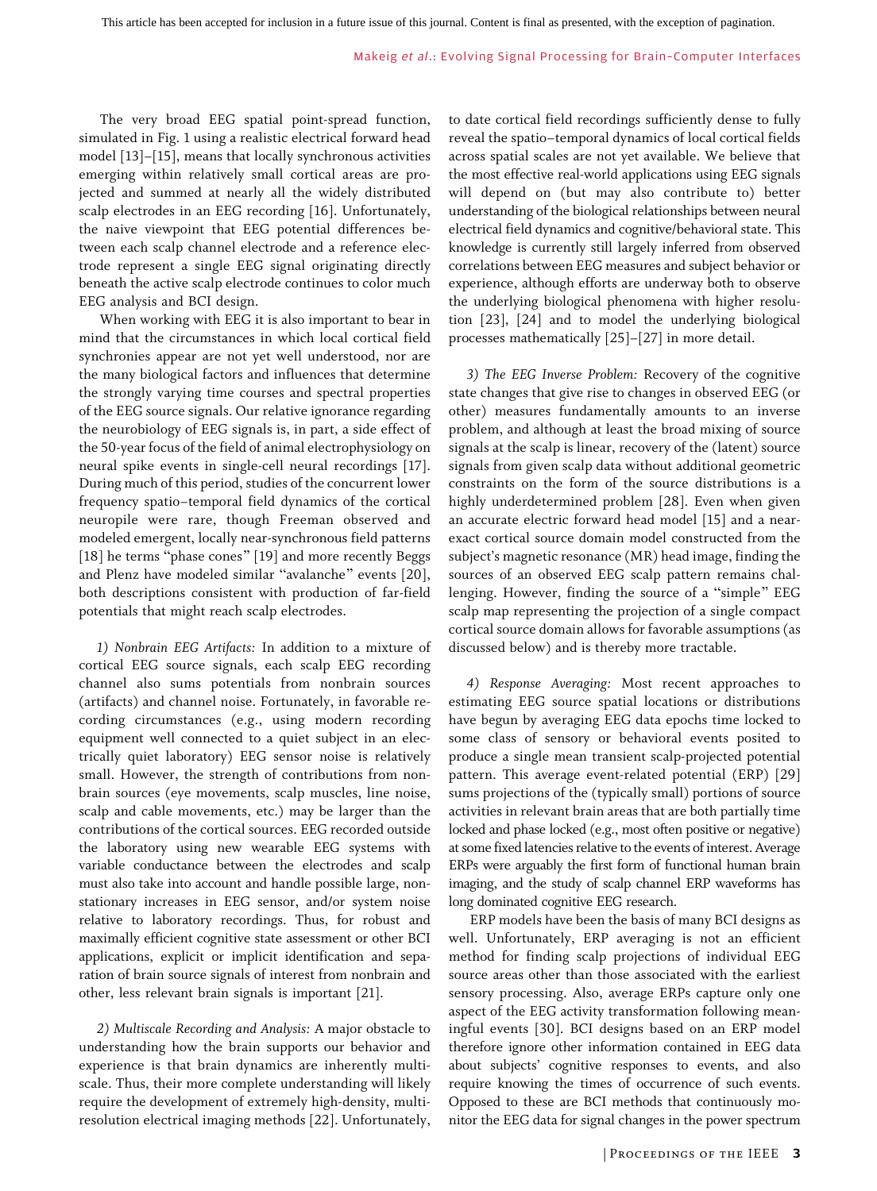The very broad EEG spatial point-spread function, simulated in Fig. 1 using a realistic electrical forward head model [13]–[15], means that locally synchronous activities emerging within relatively small cortical areas are projected and summed at nearly all the widely distributed scalp electrodes in an EEG recording [16]. Unfortunately, the naive viewpoint that EEG potential differences between each scalp channel electrode and a reference electrode represent a single EEG signal originating directly beneath the active scalp electrode continues to color much EEG analysis and BCI design.

When working with EEG it is also important to bear in mind that the circumstances in which local cortical field synchronies appear are not yet well understood, nor are the many biological factors and influences that determine the strongly varying time courses and spectral properties of the EEG source signals. Our relative ignorance regarding the neurobiology of EEG signals is, in part, a side effect of the 50-year focus of the field of animal electrophysiology on neural spike events in single-cell neural recordings [17]. During much of this period, studies of the concurrent lower frequency spatio–temporal field dynamics of the cortical neuropile were rare, though Freeman observed and modeled emergent, locally near-synchronous field patterns [18] he terms "phase cones" [19] and more recently Beggs and Plenz have modeled similar "avalanche" events [20], both descriptions consistent with production of far-field potentials that might reach scalp electrodes.

1) Nonbrain EEG Artifacts: In addition to a mixture of cortical EEG source signals, each scalp EEG recording channel also sums potentials from nonbrain sources (artifacts) and channel noise. Fortunately, in favorable recording circumstances (e.g., using modern recording equipment well connected to a quiet subject in an electrically quiet laboratory) EEG sensor noise is relatively small. However, the strength of contributions from nonbrain sources (eye movements, scalp muscles, line noise, scalp and cable movements, etc.) may be larger than the contributions of the cortical sources. EEG recorded outside the laboratory using new wearable EEG systems with variable conductance between the electrodes and scalp must also take into account and handle possible large, nonstationary increases in EEG sensor, and/or system noise relative to laboratory recordings. Thus, for robust and maximally efficient cognitive state assessment or other BCI applications, explicit or implicit identification and separation of brain source signals of interest from nonbrain and other, less relevant brain signals is important [21].

2) Multiscale Recording and Analysis: A major obstacle to understanding how the brain supports our behavior and experience is that brain dynamics are inherently multiscale. Thus, their more complete understanding will likely require the development of extremely high-density, multiresolution electrical imaging methods [22]. Unfortunately,

to date cortical field recordings sufficiently dense to fully reveal the spatio–temporal dynamics of local cortical fields across spatial scales are not yet available. We believe that the most effective real-world applications using EEG signals will depend on (but may also contribute to) better understanding of the biological relationships between neural electrical field dynamics and cognitive/behavioral state. This knowledge is currently still largely inferred from observed correlations between EEG measures and subject behavior or experience, although efforts are underway both to observe the underlying biological phenomena with higher resolution [23], [24] and to model the underlying biological processes mathematically [25]–[27] in more detail.

3) The EEG Inverse Problem: Recovery of the cognitive state changes that give rise to changes in observed EEG (or other) measures fundamentally amounts to an inverse problem, and although at least the broad mixing of source signals at the scalp is linear, recovery of the (latent) source signals from given scalp data without additional geometric constraints on the form of the source distributions is a highly underdetermined problem [28]. Even when given an accurate electric forward head model [15] and a nearexact cortical source domain model constructed from the subject's magnetic resonance (MR) head image, finding the sources of an observed EEG scalp pattern remains challenging. However, finding the source of a "simple" EEG scalp map representing the projection of a single compact cortical source domain allows for favorable assumptions (as discussed below) and is thereby more tractable.

4) Response Averaging: Most recent approaches to estimating EEG source spatial locations or distributions have begun by averaging EEG data epochs time locked to some class of sensory or behavioral events posited to produce a single mean transient scalp-projected potential pattern. This average event-related potential (ERP) [29] sums projections of the (typically small) portions of source activities in relevant brain areas that are both partially time locked and phase locked (e.g., most often positive or negative) at some fixed latencies relative to the events of interest. Average ERPs were arguably the first form of functional human brain imaging, and the study of scalp channel ERP waveforms has long dominated cognitive EEG research.

ERP models have been the basis of many BCI designs as well. Unfortunately, ERP averaging is not an efficient method for finding scalp projections of individual EEG source areas other than those associated with the earliest sensory processing. Also, average ERPs capture only one aspect of the EEG activity transformation following meaningful events [30]. BCI designs based on an ERP model therefore ignore other information contained in EEG data about subjects' cognitive responses to events, and also require knowing the times of occurrence of such events. Opposed to these are BCI methods that continuously monitor the EEG data for signal changes in the power spectrum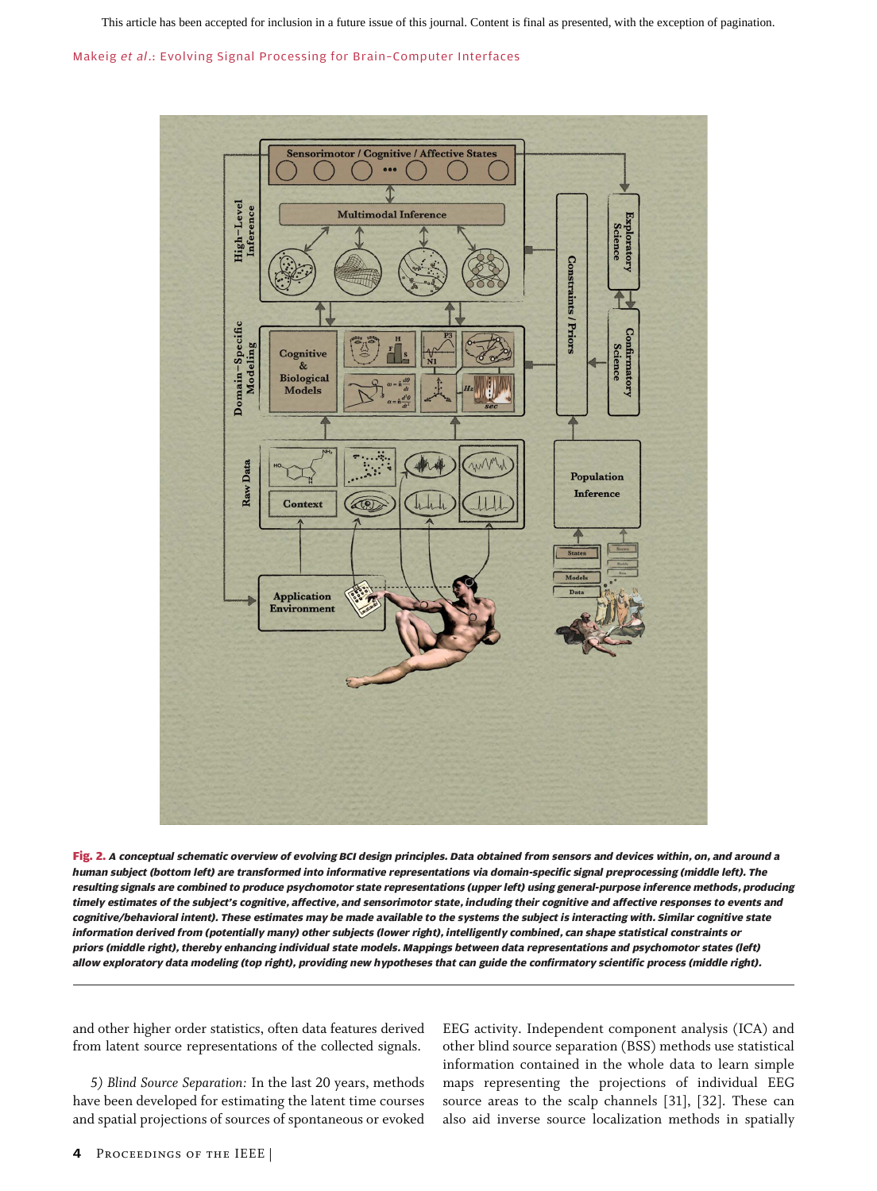Makeig et al.: Evolving Signal Processing for Brain–Computer Interfaces



Fig. 2. A conceptual schematic overview of evolving BCI design principles. Data obtained from sensors and devices within, on, and around a human subject (bottom left) are transformed into informative representations via domain-specific signal preprocessing (middle left). The resulting signals are combined to produce psychomotor state representations (upper left) using general-purpose inference methods, producing timely estimates of the subject's cognitive, affective, and sensorimotor state, including their cognitive and affective responses to events and cognitive/behavioral intent). These estimates may be made available to the systems the subject is interacting with. Similar cognitive state information derived from (potentially many) other subjects (lower right), intelligently combined, can shape statistical constraints or priors (middle right), thereby enhancing individual state models. Mappings between data representations and psychomotor states (left) allow exploratory data modeling (top right), providing new hypotheses that can guide the confirmatory scientific process (middle right).

and other higher order statistics, often data features derived from latent source representations of the collected signals.

5) Blind Source Separation: In the last 20 years, methods have been developed for estimating the latent time courses and spatial projections of sources of spontaneous or evoked EEG activity. Independent component analysis (ICA) and other blind source separation (BSS) methods use statistical information contained in the whole data to learn simple maps representing the projections of individual EEG source areas to the scalp channels [31], [32]. These can also aid inverse source localization methods in spatially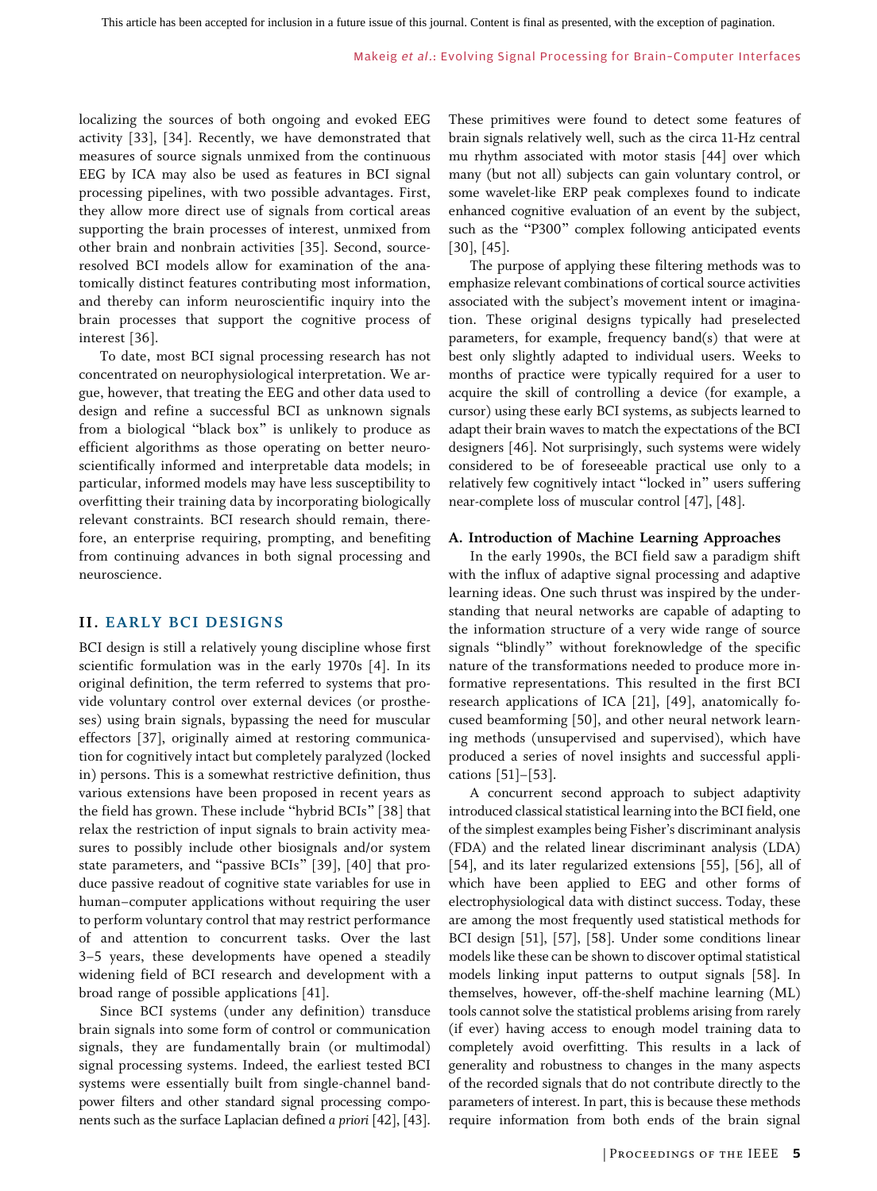localizing the sources of both ongoing and evoked EEG activity [33], [34]. Recently, we have demonstrated that measures of source signals unmixed from the continuous EEG by ICA may also be used as features in BCI signal processing pipelines, with two possible advantages. First, they allow more direct use of signals from cortical areas supporting the brain processes of interest, unmixed from other brain and nonbrain activities [35]. Second, sourceresolved BCI models allow for examination of the anatomically distinct features contributing most information, and thereby can inform neuroscientific inquiry into the brain processes that support the cognitive process of interest [36].

To date, most BCI signal processing research has not concentrated on neurophysiological interpretation. We argue, however, that treating the EEG and other data used to design and refine a successful BCI as unknown signals from a biological "black box" is unlikely to produce as efficient algorithms as those operating on better neuroscientifically informed and interpretable data models; in particular, informed models may have less susceptibility to overfitting their training data by incorporating biologically relevant constraints. BCI research should remain, therefore, an enterprise requiring, prompting, and benefiting from continuing advances in both signal processing and neuroscience.

## II. EARLY BCI DESIGNS

BCI design is still a relatively young discipline whose first scientific formulation was in the early 1970s [4]. In its original definition, the term referred to systems that provide voluntary control over external devices (or prostheses) using brain signals, bypassing the need for muscular effectors [37], originally aimed at restoring communication for cognitively intact but completely paralyzed (locked in) persons. This is a somewhat restrictive definition, thus various extensions have been proposed in recent years as the field has grown. These include "hybrid BCIs" [38] that relax the restriction of input signals to brain activity measures to possibly include other biosignals and/or system state parameters, and "passive BCIs" [39], [40] that produce passive readout of cognitive state variables for use in human–computer applications without requiring the user to perform voluntary control that may restrict performance of and attention to concurrent tasks. Over the last 3–5 years, these developments have opened a steadily widening field of BCI research and development with a broad range of possible applications [41].

Since BCI systems (under any definition) transduce brain signals into some form of control or communication signals, they are fundamentally brain (or multimodal) signal processing systems. Indeed, the earliest tested BCI systems were essentially built from single-channel bandpower filters and other standard signal processing components such as the surface Laplacian defined a priori [42], [43].

These primitives were found to detect some features of brain signals relatively well, such as the circa 11-Hz central mu rhythm associated with motor stasis [44] over which many (but not all) subjects can gain voluntary control, or some wavelet-like ERP peak complexes found to indicate enhanced cognitive evaluation of an event by the subject, such as the "P300" complex following anticipated events [30], [45].

The purpose of applying these filtering methods was to emphasize relevant combinations of cortical source activities associated with the subject's movement intent or imagination. These original designs typically had preselected parameters, for example, frequency band(s) that were at best only slightly adapted to individual users. Weeks to months of practice were typically required for a user to acquire the skill of controlling a device (for example, a cursor) using these early BCI systems, as subjects learned to adapt their brain waves to match the expectations of the BCI designers [46]. Not surprisingly, such systems were widely considered to be of foreseeable practical use only to a relatively few cognitively intact "locked in" users suffering near-complete loss of muscular control [47], [48].

#### A. Introduction of Machine Learning Approaches

In the early 1990s, the BCI field saw a paradigm shift with the influx of adaptive signal processing and adaptive learning ideas. One such thrust was inspired by the understanding that neural networks are capable of adapting to the information structure of a very wide range of source signals "blindly" without foreknowledge of the specific nature of the transformations needed to produce more informative representations. This resulted in the first BCI research applications of ICA [21], [49], anatomically focused beamforming [50], and other neural network learning methods (unsupervised and supervised), which have produced a series of novel insights and successful applications [51]–[53].

A concurrent second approach to subject adaptivity introduced classical statistical learning into the BCI field, one of the simplest examples being Fisher's discriminant analysis (FDA) and the related linear discriminant analysis (LDA) [54], and its later regularized extensions [55], [56], all of which have been applied to EEG and other forms of electrophysiological data with distinct success. Today, these are among the most frequently used statistical methods for BCI design [51], [57], [58]. Under some conditions linear models like these can be shown to discover optimal statistical models linking input patterns to output signals [58]. In themselves, however, off-the-shelf machine learning (ML) tools cannot solve the statistical problems arising from rarely (if ever) having access to enough model training data to completely avoid overfitting. This results in a lack of generality and robustness to changes in the many aspects of the recorded signals that do not contribute directly to the parameters of interest. In part, this is because these methods require information from both ends of the brain signal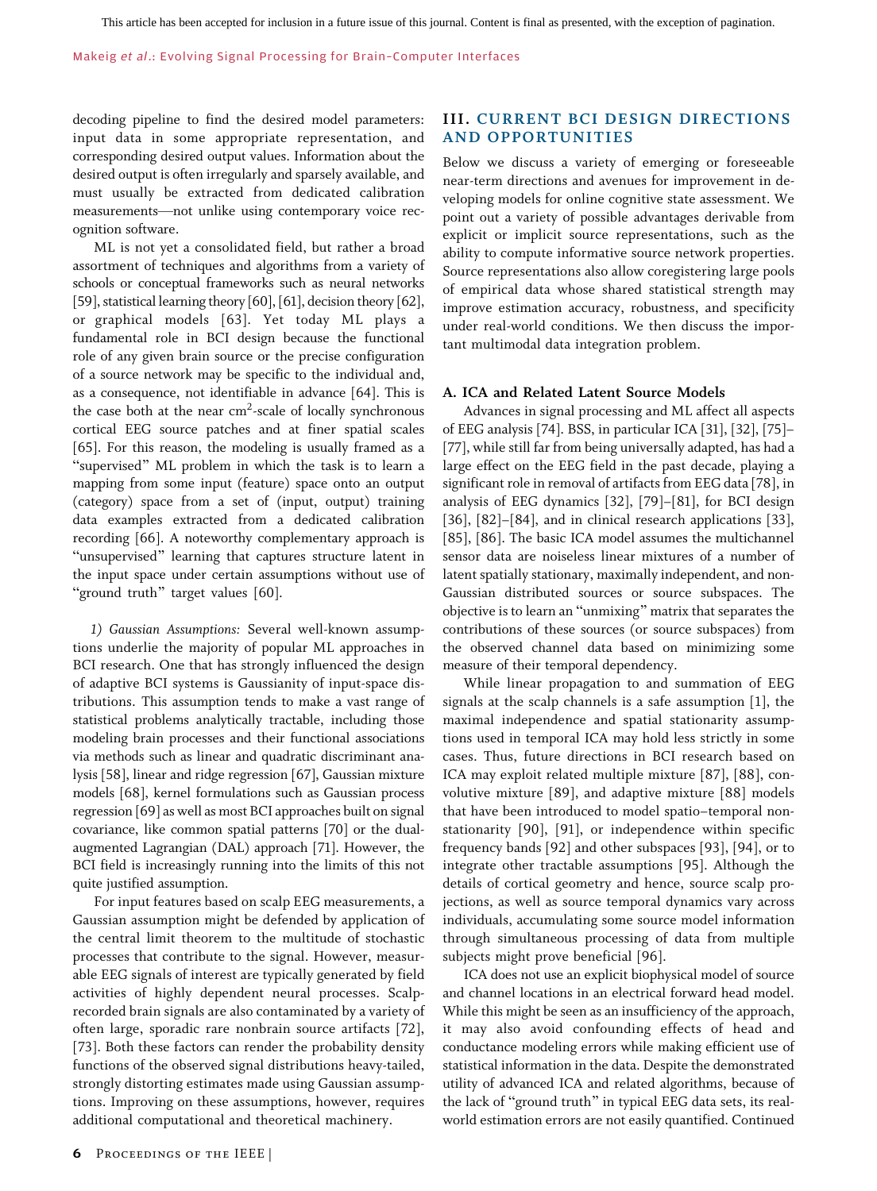decoding pipeline to find the desired model parameters: input data in some appropriate representation, and corresponding desired output values. Information about the desired output is often irregularly and sparsely available, and must usually be extracted from dedicated calibration measurements-not unlike using contemporary voice recognition software.

ML is not yet a consolidated field, but rather a broad assortment of techniques and algorithms from a variety of schools or conceptual frameworks such as neural networks [59], statistical learning theory [60], [61], decision theory [62], or graphical models [63]. Yet today ML plays a fundamental role in BCI design because the functional role of any given brain source or the precise configuration of a source network may be specific to the individual and, as a consequence, not identifiable in advance [64]. This is the case both at the near  $cm<sup>2</sup>$ -scale of locally synchronous cortical EEG source patches and at finer spatial scales [65]. For this reason, the modeling is usually framed as a "supervised" ML problem in which the task is to learn a mapping from some input (feature) space onto an output (category) space from a set of (input, output) training data examples extracted from a dedicated calibration recording [66]. A noteworthy complementary approach is "unsupervised" learning that captures structure latent in the input space under certain assumptions without use of "ground truth" target values [60].

1) Gaussian Assumptions: Several well-known assumptions underlie the majority of popular ML approaches in BCI research. One that has strongly influenced the design of adaptive BCI systems is Gaussianity of input-space distributions. This assumption tends to make a vast range of statistical problems analytically tractable, including those modeling brain processes and their functional associations via methods such as linear and quadratic discriminant analysis [58], linear and ridge regression [67], Gaussian mixture models [68], kernel formulations such as Gaussian process regression [69] as well as most BCI approaches built on signal covariance, like common spatial patterns [70] or the dualaugmented Lagrangian (DAL) approach [71]. However, the BCI field is increasingly running into the limits of this not quite justified assumption.

For input features based on scalp EEG measurements, a Gaussian assumption might be defended by application of the central limit theorem to the multitude of stochastic processes that contribute to the signal. However, measurable EEG signals of interest are typically generated by field activities of highly dependent neural processes. Scalprecorded brain signals are also contaminated by a variety of often large, sporadic rare nonbrain source artifacts [72], [73]. Both these factors can render the probability density functions of the observed signal distributions heavy-tailed, strongly distorting estimates made using Gaussian assumptions. Improving on these assumptions, however, requires additional computational and theoretical machinery.

## III. CURRENT BCI DESIGN DIRECTIONS AND OPPORTUNITIES

Below we discuss a variety of emerging or foreseeable near-term directions and avenues for improvement in developing models for online cognitive state assessment. We point out a variety of possible advantages derivable from explicit or implicit source representations, such as the ability to compute informative source network properties. Source representations also allow coregistering large pools of empirical data whose shared statistical strength may improve estimation accuracy, robustness, and specificity under real-world conditions. We then discuss the important multimodal data integration problem.

#### A. ICA and Related Latent Source Models

Advances in signal processing and ML affect all aspects of EEG analysis [74]. BSS, in particular ICA [31], [32], [75]– [77], while still far from being universally adapted, has had a large effect on the EEG field in the past decade, playing a significant role in removal of artifacts from EEG data [78], in analysis of EEG dynamics [32], [79]–[81], for BCI design [36], [82]–[84], and in clinical research applications [33], [85], [86]. The basic ICA model assumes the multichannel sensor data are noiseless linear mixtures of a number of latent spatially stationary, maximally independent, and non-Gaussian distributed sources or source subspaces. The objective is to learn an "unmixing" matrix that separates the contributions of these sources (or source subspaces) from the observed channel data based on minimizing some measure of their temporal dependency.

While linear propagation to and summation of EEG signals at the scalp channels is a safe assumption [1], the maximal independence and spatial stationarity assumptions used in temporal ICA may hold less strictly in some cases. Thus, future directions in BCI research based on ICA may exploit related multiple mixture [87], [88], convolutive mixture [89], and adaptive mixture [88] models that have been introduced to model spatio–temporal nonstationarity [90], [91], or independence within specific frequency bands [92] and other subspaces [93], [94], or to integrate other tractable assumptions [95]. Although the details of cortical geometry and hence, source scalp projections, as well as source temporal dynamics vary across individuals, accumulating some source model information through simultaneous processing of data from multiple subjects might prove beneficial [96].

ICA does not use an explicit biophysical model of source and channel locations in an electrical forward head model. While this might be seen as an insufficiency of the approach, it may also avoid confounding effects of head and conductance modeling errors while making efficient use of statistical information in the data. Despite the demonstrated utility of advanced ICA and related algorithms, because of the lack of "ground truth" in typical EEG data sets, its realworld estimation errors are not easily quantified. Continued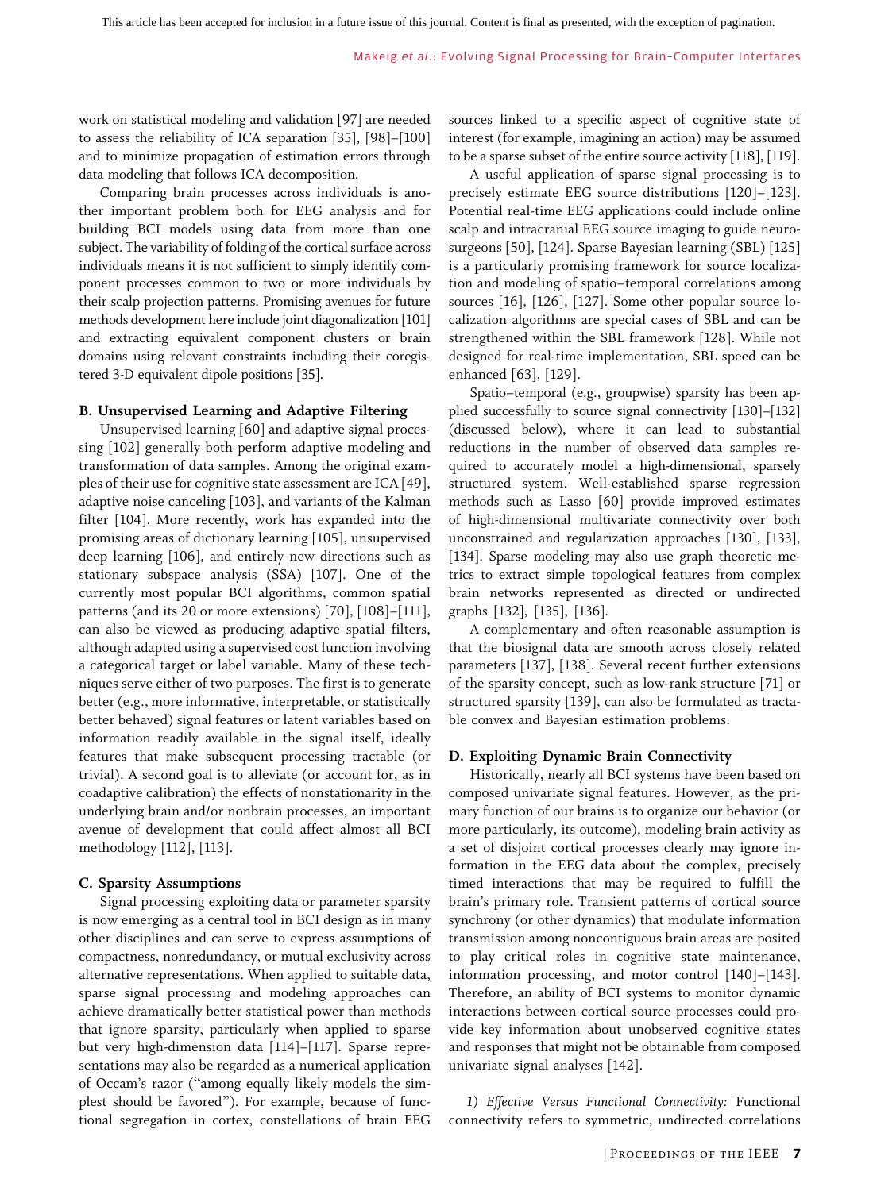work on statistical modeling and validation [97] are needed to assess the reliability of ICA separation [35], [98]–[100] and to minimize propagation of estimation errors through data modeling that follows ICA decomposition.

Comparing brain processes across individuals is another important problem both for EEG analysis and for building BCI models using data from more than one subject. The variability of folding of the cortical surface across individuals means it is not sufficient to simply identify component processes common to two or more individuals by their scalp projection patterns. Promising avenues for future methods development here include joint diagonalization [101] and extracting equivalent component clusters or brain domains using relevant constraints including their coregistered 3-D equivalent dipole positions [35].

## B. Unsupervised Learning and Adaptive Filtering

Unsupervised learning [60] and adaptive signal processing [102] generally both perform adaptive modeling and transformation of data samples. Among the original examples of their use for cognitive state assessment are ICA [49], adaptive noise canceling [103], and variants of the Kalman filter [104]. More recently, work has expanded into the promising areas of dictionary learning [105], unsupervised deep learning [106], and entirely new directions such as stationary subspace analysis (SSA) [107]. One of the currently most popular BCI algorithms, common spatial patterns (and its 20 or more extensions) [70], [108]–[111], can also be viewed as producing adaptive spatial filters, although adapted using a supervised cost function involving a categorical target or label variable. Many of these techniques serve either of two purposes. The first is to generate better (e.g., more informative, interpretable, or statistically better behaved) signal features or latent variables based on information readily available in the signal itself, ideally features that make subsequent processing tractable (or trivial). A second goal is to alleviate (or account for, as in coadaptive calibration) the effects of nonstationarity in the underlying brain and/or nonbrain processes, an important avenue of development that could affect almost all BCI methodology [112], [113].

#### C. Sparsity Assumptions

Signal processing exploiting data or parameter sparsity is now emerging as a central tool in BCI design as in many other disciplines and can serve to express assumptions of compactness, nonredundancy, or mutual exclusivity across alternative representations. When applied to suitable data, sparse signal processing and modeling approaches can achieve dramatically better statistical power than methods that ignore sparsity, particularly when applied to sparse but very high-dimension data [114]–[117]. Sparse representations may also be regarded as a numerical application of Occam's razor ("among equally likely models the simplest should be favored"). For example, because of functional segregation in cortex, constellations of brain EEG

sources linked to a specific aspect of cognitive state of interest (for example, imagining an action) may be assumed to be a sparse subset of the entire source activity [118], [119].

A useful application of sparse signal processing is to precisely estimate EEG source distributions [120]–[123]. Potential real-time EEG applications could include online scalp and intracranial EEG source imaging to guide neurosurgeons [50], [124]. Sparse Bayesian learning (SBL) [125] is a particularly promising framework for source localization and modeling of spatio–temporal correlations among sources [16], [126], [127]. Some other popular source localization algorithms are special cases of SBL and can be strengthened within the SBL framework [128]. While not designed for real-time implementation, SBL speed can be enhanced [63], [129].

Spatio–temporal (e.g., groupwise) sparsity has been applied successfully to source signal connectivity [130]–[132] (discussed below), where it can lead to substantial reductions in the number of observed data samples required to accurately model a high-dimensional, sparsely structured system. Well-established sparse regression methods such as Lasso [60] provide improved estimates of high-dimensional multivariate connectivity over both unconstrained and regularization approaches [130], [133], [134]. Sparse modeling may also use graph theoretic metrics to extract simple topological features from complex brain networks represented as directed or undirected graphs [132], [135], [136].

A complementary and often reasonable assumption is that the biosignal data are smooth across closely related parameters [137], [138]. Several recent further extensions of the sparsity concept, such as low-rank structure [71] or structured sparsity [139], can also be formulated as tractable convex and Bayesian estimation problems.

#### D. Exploiting Dynamic Brain Connectivity

Historically, nearly all BCI systems have been based on composed univariate signal features. However, as the primary function of our brains is to organize our behavior (or more particularly, its outcome), modeling brain activity as a set of disjoint cortical processes clearly may ignore information in the EEG data about the complex, precisely timed interactions that may be required to fulfill the brain's primary role. Transient patterns of cortical source synchrony (or other dynamics) that modulate information transmission among noncontiguous brain areas are posited to play critical roles in cognitive state maintenance, information processing, and motor control [140]–[143]. Therefore, an ability of BCI systems to monitor dynamic interactions between cortical source processes could provide key information about unobserved cognitive states and responses that might not be obtainable from composed univariate signal analyses [142].

1) Effective Versus Functional Connectivity: Functional connectivity refers to symmetric, undirected correlations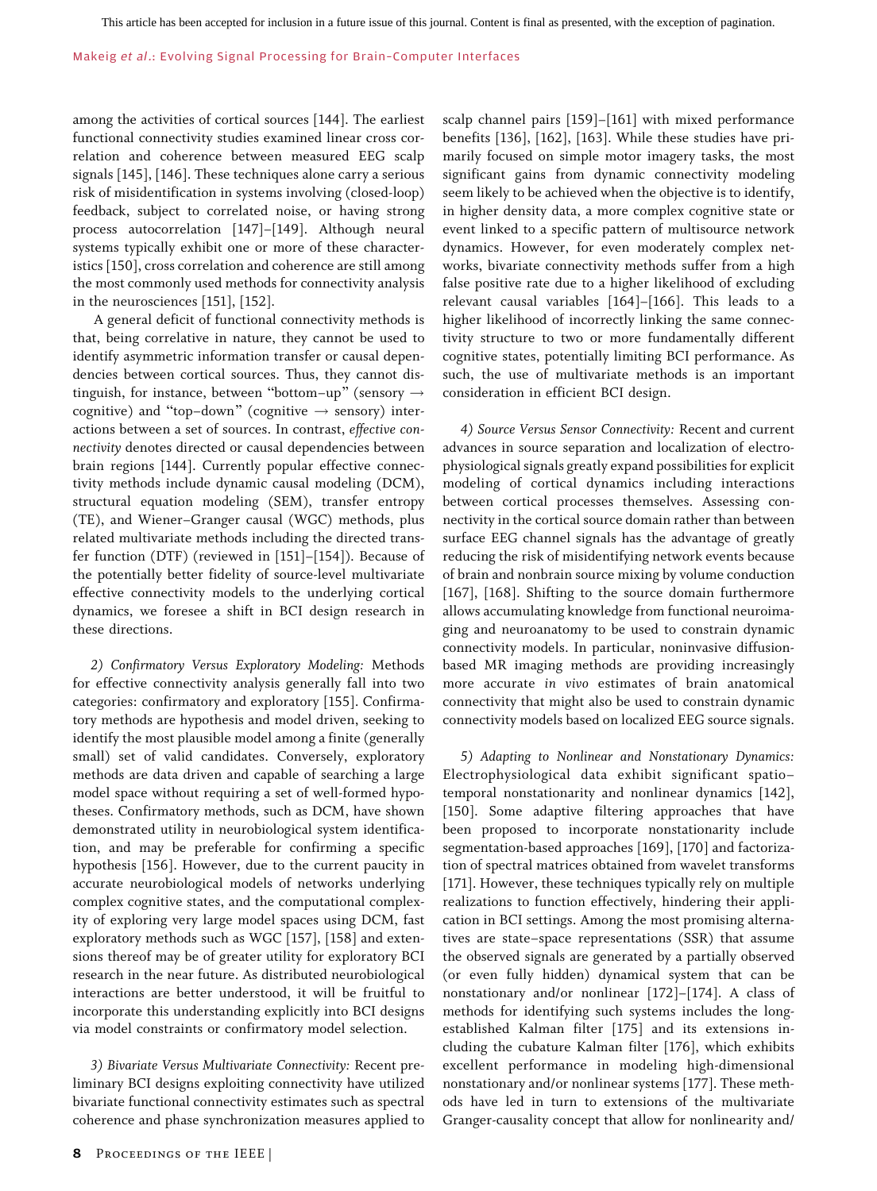among the activities of cortical sources [144]. The earliest functional connectivity studies examined linear cross correlation and coherence between measured EEG scalp signals [145], [146]. These techniques alone carry a serious risk of misidentification in systems involving (closed-loop) feedback, subject to correlated noise, or having strong process autocorrelation [147]–[149]. Although neural systems typically exhibit one or more of these characteristics [150], cross correlation and coherence are still among the most commonly used methods for connectivity analysis in the neurosciences [151], [152].

A general deficit of functional connectivity methods is that, being correlative in nature, they cannot be used to identify asymmetric information transfer or causal dependencies between cortical sources. Thus, they cannot distinguish, for instance, between "bottom–up" (sensory  $\rightarrow$ cognitive) and "top–down" (cognitive  $\rightarrow$  sensory) interactions between a set of sources. In contrast, effective connectivity denotes directed or causal dependencies between brain regions [144]. Currently popular effective connectivity methods include dynamic causal modeling (DCM), structural equation modeling (SEM), transfer entropy (TE), and Wiener–Granger causal (WGC) methods, plus related multivariate methods including the directed transfer function (DTF) (reviewed in [151]–[154]). Because of the potentially better fidelity of source-level multivariate effective connectivity models to the underlying cortical dynamics, we foresee a shift in BCI design research in these directions.

2) Confirmatory Versus Exploratory Modeling: Methods for effective connectivity analysis generally fall into two categories: confirmatory and exploratory [155]. Confirmatory methods are hypothesis and model driven, seeking to identify the most plausible model among a finite (generally small) set of valid candidates. Conversely, exploratory methods are data driven and capable of searching a large model space without requiring a set of well-formed hypotheses. Confirmatory methods, such as DCM, have shown demonstrated utility in neurobiological system identification, and may be preferable for confirming a specific hypothesis [156]. However, due to the current paucity in accurate neurobiological models of networks underlying complex cognitive states, and the computational complexity of exploring very large model spaces using DCM, fast exploratory methods such as WGC [157], [158] and extensions thereof may be of greater utility for exploratory BCI research in the near future. As distributed neurobiological interactions are better understood, it will be fruitful to incorporate this understanding explicitly into BCI designs via model constraints or confirmatory model selection.

3) Bivariate Versus Multivariate Connectivity: Recent preliminary BCI designs exploiting connectivity have utilized bivariate functional connectivity estimates such as spectral coherence and phase synchronization measures applied to

8 PROCEEDINGS OF THE IEEE |

scalp channel pairs [159]–[161] with mixed performance benefits [136], [162], [163]. While these studies have primarily focused on simple motor imagery tasks, the most significant gains from dynamic connectivity modeling seem likely to be achieved when the objective is to identify, in higher density data, a more complex cognitive state or event linked to a specific pattern of multisource network dynamics. However, for even moderately complex networks, bivariate connectivity methods suffer from a high false positive rate due to a higher likelihood of excluding relevant causal variables [164]–[166]. This leads to a higher likelihood of incorrectly linking the same connectivity structure to two or more fundamentally different cognitive states, potentially limiting BCI performance. As such, the use of multivariate methods is an important consideration in efficient BCI design.

4) Source Versus Sensor Connectivity: Recent and current advances in source separation and localization of electrophysiological signals greatly expand possibilities for explicit modeling of cortical dynamics including interactions between cortical processes themselves. Assessing connectivity in the cortical source domain rather than between surface EEG channel signals has the advantage of greatly reducing the risk of misidentifying network events because of brain and nonbrain source mixing by volume conduction [167], [168]. Shifting to the source domain furthermore allows accumulating knowledge from functional neuroimaging and neuroanatomy to be used to constrain dynamic connectivity models. In particular, noninvasive diffusionbased MR imaging methods are providing increasingly more accurate in vivo estimates of brain anatomical connectivity that might also be used to constrain dynamic connectivity models based on localized EEG source signals.

5) Adapting to Nonlinear and Nonstationary Dynamics: Electrophysiological data exhibit significant spatio– temporal nonstationarity and nonlinear dynamics [142], [150]. Some adaptive filtering approaches that have been proposed to incorporate nonstationarity include segmentation-based approaches [169], [170] and factorization of spectral matrices obtained from wavelet transforms [171]. However, these techniques typically rely on multiple realizations to function effectively, hindering their application in BCI settings. Among the most promising alternatives are state–space representations (SSR) that assume the observed signals are generated by a partially observed (or even fully hidden) dynamical system that can be nonstationary and/or nonlinear [172]–[174]. A class of methods for identifying such systems includes the longestablished Kalman filter [175] and its extensions including the cubature Kalman filter [176], which exhibits excellent performance in modeling high-dimensional nonstationary and/or nonlinear systems [177]. These methods have led in turn to extensions of the multivariate Granger-causality concept that allow for nonlinearity and/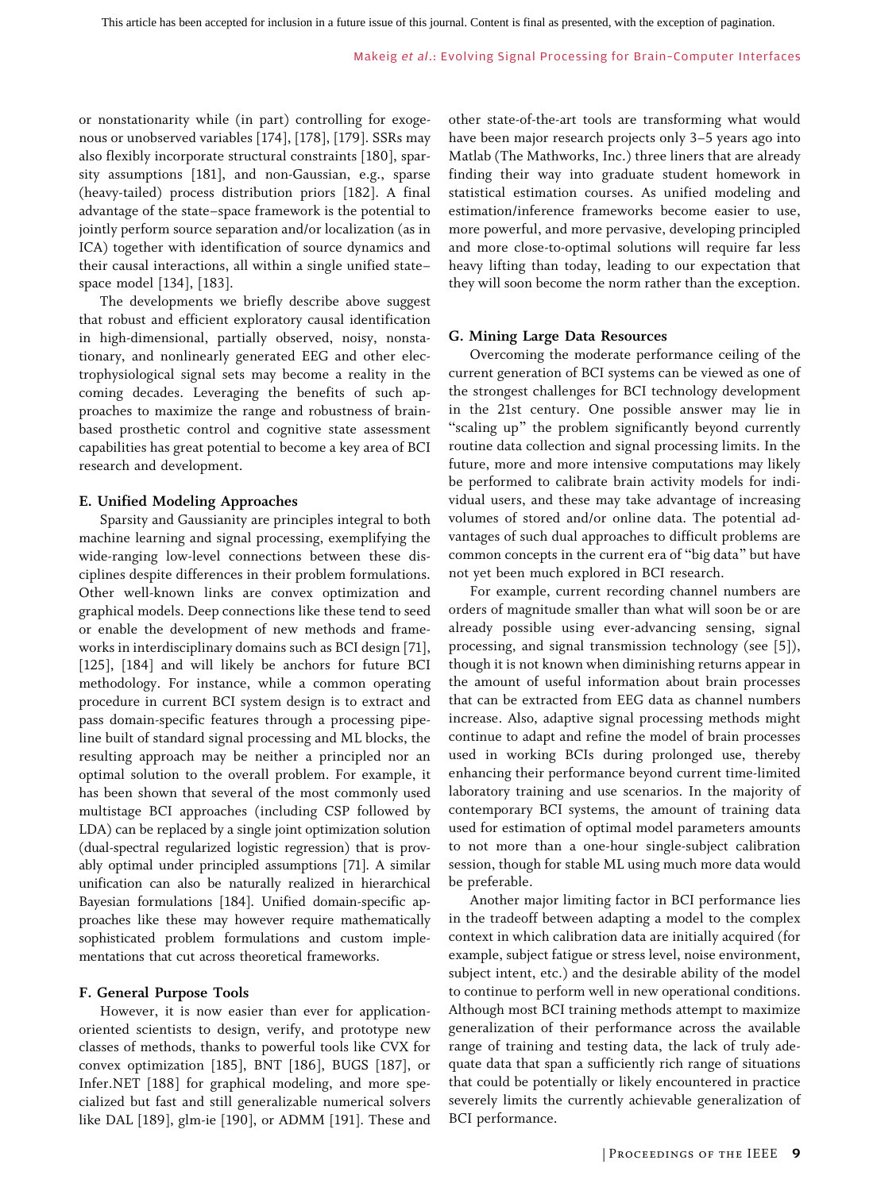or nonstationarity while (in part) controlling for exogenous or unobserved variables [174], [178], [179]. SSRs may also flexibly incorporate structural constraints [180], sparsity assumptions [181], and non-Gaussian, e.g., sparse (heavy-tailed) process distribution priors [182]. A final advantage of the state–space framework is the potential to jointly perform source separation and/or localization (as in ICA) together with identification of source dynamics and their causal interactions, all within a single unified state– space model [134], [183].

The developments we briefly describe above suggest that robust and efficient exploratory causal identification in high-dimensional, partially observed, noisy, nonstationary, and nonlinearly generated EEG and other electrophysiological signal sets may become a reality in the coming decades. Leveraging the benefits of such approaches to maximize the range and robustness of brainbased prosthetic control and cognitive state assessment capabilities has great potential to become a key area of BCI research and development.

#### E. Unified Modeling Approaches

Sparsity and Gaussianity are principles integral to both machine learning and signal processing, exemplifying the wide-ranging low-level connections between these disciplines despite differences in their problem formulations. Other well-known links are convex optimization and graphical models. Deep connections like these tend to seed or enable the development of new methods and frameworks in interdisciplinary domains such as BCI design [71], [125], [184] and will likely be anchors for future BCI methodology. For instance, while a common operating procedure in current BCI system design is to extract and pass domain-specific features through a processing pipeline built of standard signal processing and ML blocks, the resulting approach may be neither a principled nor an optimal solution to the overall problem. For example, it has been shown that several of the most commonly used multistage BCI approaches (including CSP followed by LDA) can be replaced by a single joint optimization solution (dual-spectral regularized logistic regression) that is provably optimal under principled assumptions [71]. A similar unification can also be naturally realized in hierarchical Bayesian formulations [184]. Unified domain-specific approaches like these may however require mathematically sophisticated problem formulations and custom implementations that cut across theoretical frameworks.

### F. General Purpose Tools

However, it is now easier than ever for applicationoriented scientists to design, verify, and prototype new classes of methods, thanks to powerful tools like CVX for convex optimization [185], BNT [186], BUGS [187], or Infer.NET [188] for graphical modeling, and more specialized but fast and still generalizable numerical solvers like DAL [189], glm-ie [190], or ADMM [191]. These and other state-of-the-art tools are transforming what would have been major research projects only 3–5 years ago into Matlab (The Mathworks, Inc.) three liners that are already finding their way into graduate student homework in statistical estimation courses. As unified modeling and estimation/inference frameworks become easier to use, more powerful, and more pervasive, developing principled and more close-to-optimal solutions will require far less heavy lifting than today, leading to our expectation that they will soon become the norm rather than the exception.

#### G. Mining Large Data Resources

Overcoming the moderate performance ceiling of the current generation of BCI systems can be viewed as one of the strongest challenges for BCI technology development in the 21st century. One possible answer may lie in "scaling up" the problem significantly beyond currently routine data collection and signal processing limits. In the future, more and more intensive computations may likely be performed to calibrate brain activity models for individual users, and these may take advantage of increasing volumes of stored and/or online data. The potential advantages of such dual approaches to difficult problems are common concepts in the current era of "big data" but have not yet been much explored in BCI research.

For example, current recording channel numbers are orders of magnitude smaller than what will soon be or are already possible using ever-advancing sensing, signal processing, and signal transmission technology (see [5]), though it is not known when diminishing returns appear in the amount of useful information about brain processes that can be extracted from EEG data as channel numbers increase. Also, adaptive signal processing methods might continue to adapt and refine the model of brain processes used in working BCIs during prolonged use, thereby enhancing their performance beyond current time-limited laboratory training and use scenarios. In the majority of contemporary BCI systems, the amount of training data used for estimation of optimal model parameters amounts to not more than a one-hour single-subject calibration session, though for stable ML using much more data would be preferable.

Another major limiting factor in BCI performance lies in the tradeoff between adapting a model to the complex context in which calibration data are initially acquired (for example, subject fatigue or stress level, noise environment, subject intent, etc.) and the desirable ability of the model to continue to perform well in new operational conditions. Although most BCI training methods attempt to maximize generalization of their performance across the available range of training and testing data, the lack of truly adequate data that span a sufficiently rich range of situations that could be potentially or likely encountered in practice severely limits the currently achievable generalization of BCI performance.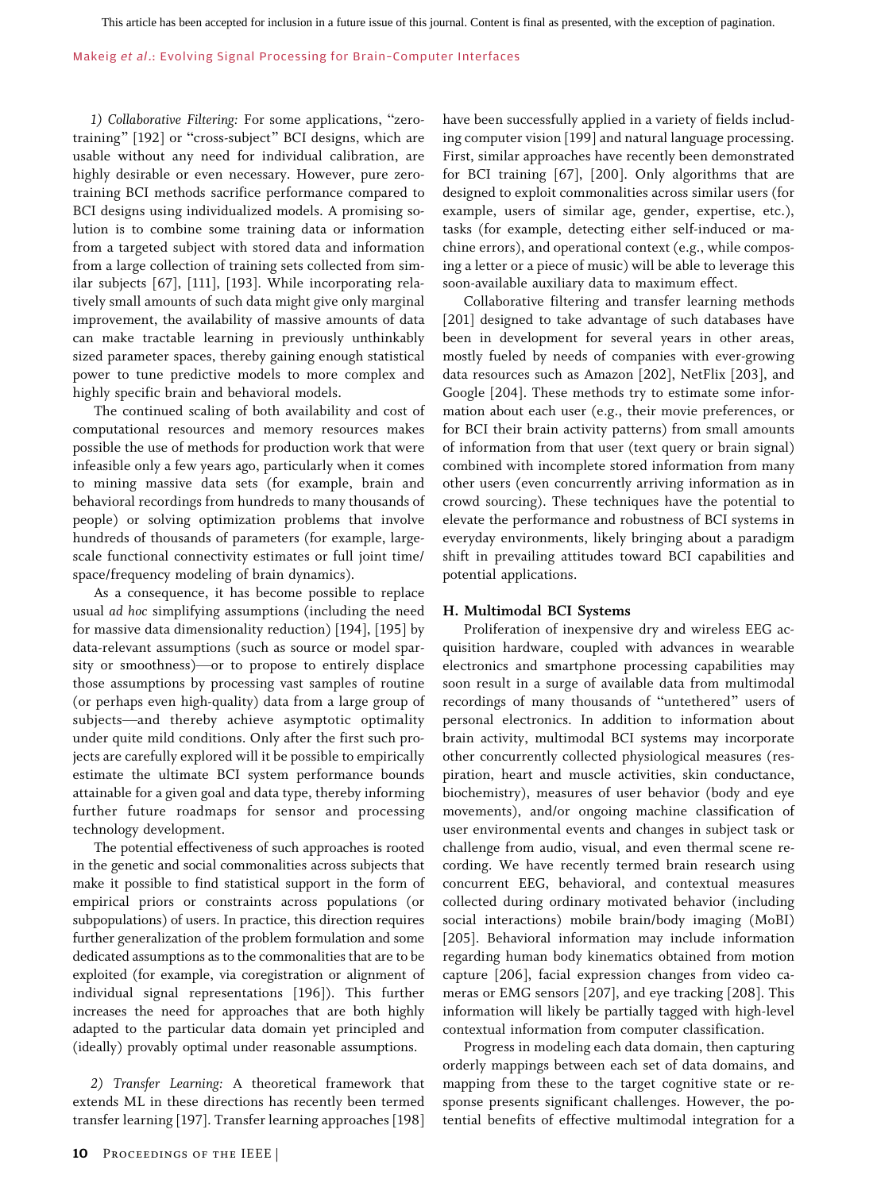#### Makeig et al.: Evolving Signal Processing for Brain–Computer Interfaces

1) Collaborative Filtering: For some applications, "zerotraining" [192] or "cross-subject" BCI designs, which are usable without any need for individual calibration, are highly desirable or even necessary. However, pure zerotraining BCI methods sacrifice performance compared to BCI designs using individualized models. A promising solution is to combine some training data or information from a targeted subject with stored data and information from a large collection of training sets collected from similar subjects [67], [111], [193]. While incorporating relatively small amounts of such data might give only marginal improvement, the availability of massive amounts of data can make tractable learning in previously unthinkably sized parameter spaces, thereby gaining enough statistical power to tune predictive models to more complex and highly specific brain and behavioral models.

The continued scaling of both availability and cost of computational resources and memory resources makes possible the use of methods for production work that were infeasible only a few years ago, particularly when it comes to mining massive data sets (for example, brain and behavioral recordings from hundreds to many thousands of people) or solving optimization problems that involve hundreds of thousands of parameters (for example, largescale functional connectivity estimates or full joint time/ space/frequency modeling of brain dynamics).

As a consequence, it has become possible to replace usual ad hoc simplifying assumptions (including the need for massive data dimensionality reduction) [194], [195] by data-relevant assumptions (such as source or model sparsity or smoothness)—or to propose to entirely displace those assumptions by processing vast samples of routine (or perhaps even high-quality) data from a large group of subjects-and thereby achieve asymptotic optimality under quite mild conditions. Only after the first such projects are carefully explored will it be possible to empirically estimate the ultimate BCI system performance bounds attainable for a given goal and data type, thereby informing further future roadmaps for sensor and processing technology development.

The potential effectiveness of such approaches is rooted in the genetic and social commonalities across subjects that make it possible to find statistical support in the form of empirical priors or constraints across populations (or subpopulations) of users. In practice, this direction requires further generalization of the problem formulation and some dedicated assumptions as to the commonalities that are to be exploited (for example, via coregistration or alignment of individual signal representations [196]). This further increases the need for approaches that are both highly adapted to the particular data domain yet principled and (ideally) provably optimal under reasonable assumptions.

2) Transfer Learning: A theoretical framework that extends ML in these directions has recently been termed transfer learning [197]. Transfer learning approaches [198] have been successfully applied in a variety of fields including computer vision [199] and natural language processing. First, similar approaches have recently been demonstrated for BCI training [67], [200]. Only algorithms that are designed to exploit commonalities across similar users (for example, users of similar age, gender, expertise, etc.), tasks (for example, detecting either self-induced or machine errors), and operational context (e.g., while composing a letter or a piece of music) will be able to leverage this soon-available auxiliary data to maximum effect.

Collaborative filtering and transfer learning methods [201] designed to take advantage of such databases have been in development for several years in other areas, mostly fueled by needs of companies with ever-growing data resources such as Amazon [202], NetFlix [203], and Google [204]. These methods try to estimate some information about each user (e.g., their movie preferences, or for BCI their brain activity patterns) from small amounts of information from that user (text query or brain signal) combined with incomplete stored information from many other users (even concurrently arriving information as in crowd sourcing). These techniques have the potential to elevate the performance and robustness of BCI systems in everyday environments, likely bringing about a paradigm shift in prevailing attitudes toward BCI capabilities and potential applications.

### H. Multimodal BCI Systems

Proliferation of inexpensive dry and wireless EEG acquisition hardware, coupled with advances in wearable electronics and smartphone processing capabilities may soon result in a surge of available data from multimodal recordings of many thousands of "untethered" users of personal electronics. In addition to information about brain activity, multimodal BCI systems may incorporate other concurrently collected physiological measures (respiration, heart and muscle activities, skin conductance, biochemistry), measures of user behavior (body and eye movements), and/or ongoing machine classification of user environmental events and changes in subject task or challenge from audio, visual, and even thermal scene recording. We have recently termed brain research using concurrent EEG, behavioral, and contextual measures collected during ordinary motivated behavior (including social interactions) mobile brain/body imaging (MoBI) [205]. Behavioral information may include information regarding human body kinematics obtained from motion capture [206], facial expression changes from video cameras or EMG sensors [207], and eye tracking [208]. This information will likely be partially tagged with high-level contextual information from computer classification.

Progress in modeling each data domain, then capturing orderly mappings between each set of data domains, and mapping from these to the target cognitive state or response presents significant challenges. However, the potential benefits of effective multimodal integration for a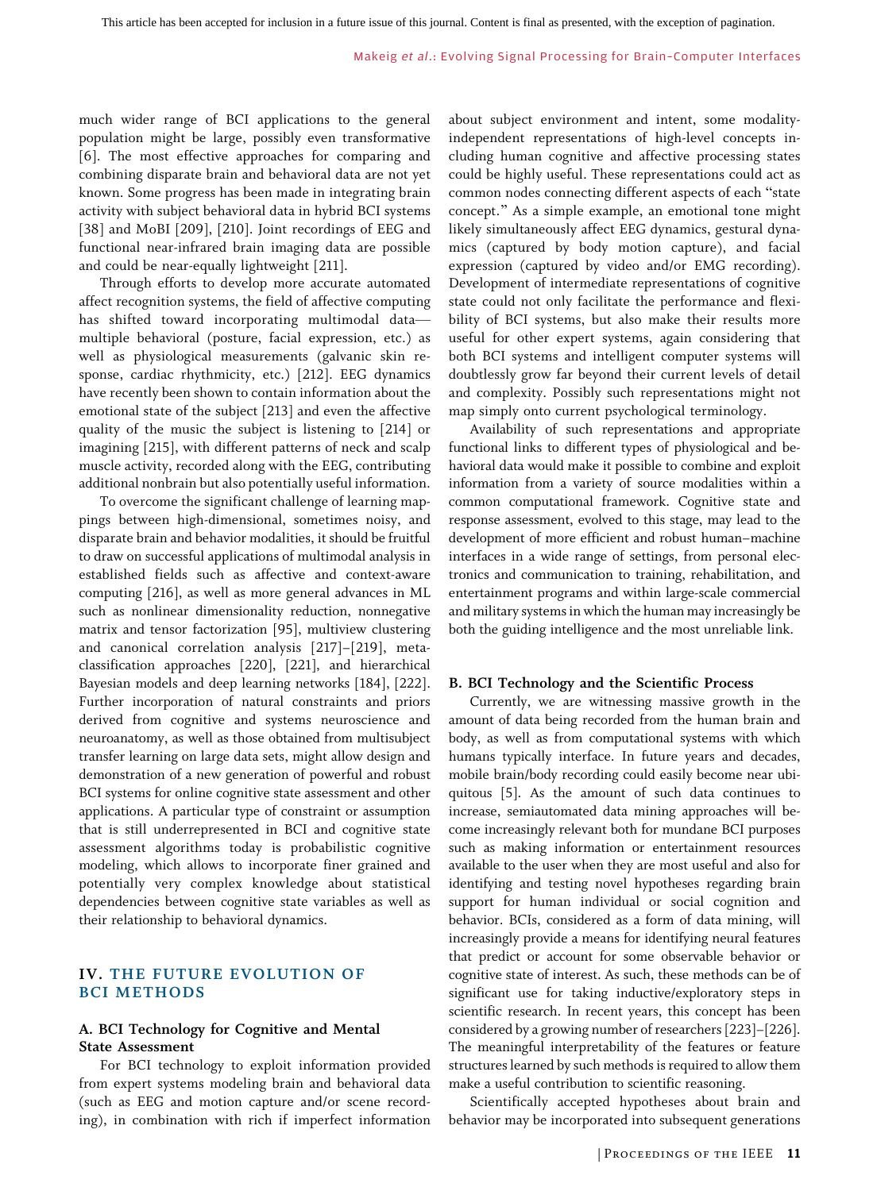much wider range of BCI applications to the general population might be large, possibly even transformative [6]. The most effective approaches for comparing and combining disparate brain and behavioral data are not yet known. Some progress has been made in integrating brain activity with subject behavioral data in hybrid BCI systems [38] and MoBI [209], [210]. Joint recordings of EEG and functional near-infrared brain imaging data are possible and could be near-equally lightweight [211].

Through efforts to develop more accurate automated affect recognition systems, the field of affective computing has shifted toward incorporating multimodal datamultiple behavioral (posture, facial expression, etc.) as well as physiological measurements (galvanic skin response, cardiac rhythmicity, etc.) [212]. EEG dynamics have recently been shown to contain information about the emotional state of the subject [213] and even the affective quality of the music the subject is listening to [214] or imagining [215], with different patterns of neck and scalp muscle activity, recorded along with the EEG, contributing additional nonbrain but also potentially useful information.

To overcome the significant challenge of learning mappings between high-dimensional, sometimes noisy, and disparate brain and behavior modalities, it should be fruitful to draw on successful applications of multimodal analysis in established fields such as affective and context-aware computing [216], as well as more general advances in ML such as nonlinear dimensionality reduction, nonnegative matrix and tensor factorization [95], multiview clustering and canonical correlation analysis [217]–[219], metaclassification approaches [220], [221], and hierarchical Bayesian models and deep learning networks [184], [222]. Further incorporation of natural constraints and priors derived from cognitive and systems neuroscience and neuroanatomy, as well as those obtained from multisubject transfer learning on large data sets, might allow design and demonstration of a new generation of powerful and robust BCI systems for online cognitive state assessment and other applications. A particular type of constraint or assumption that is still underrepresented in BCI and cognitive state assessment algorithms today is probabilistic cognitive modeling, which allows to incorporate finer grained and potentially very complex knowledge about statistical dependencies between cognitive state variables as well as their relationship to behavioral dynamics.

## IV. THE FUTURE EVOLUTION OF BCI METHODS

## A. BCI Technology for Cognitive and Mental State Assessment

For BCI technology to exploit information provided from expert systems modeling brain and behavioral data (such as EEG and motion capture and/or scene recording), in combination with rich if imperfect information about subject environment and intent, some modalityindependent representations of high-level concepts including human cognitive and affective processing states could be highly useful. These representations could act as common nodes connecting different aspects of each "state concept." As a simple example, an emotional tone might likely simultaneously affect EEG dynamics, gestural dynamics (captured by body motion capture), and facial expression (captured by video and/or EMG recording). Development of intermediate representations of cognitive state could not only facilitate the performance and flexibility of BCI systems, but also make their results more useful for other expert systems, again considering that both BCI systems and intelligent computer systems will doubtlessly grow far beyond their current levels of detail and complexity. Possibly such representations might not map simply onto current psychological terminology.

Availability of such representations and appropriate functional links to different types of physiological and behavioral data would make it possible to combine and exploit information from a variety of source modalities within a common computational framework. Cognitive state and response assessment, evolved to this stage, may lead to the development of more efficient and robust human–machine interfaces in a wide range of settings, from personal electronics and communication to training, rehabilitation, and entertainment programs and within large-scale commercial and military systems in which the human may increasingly be both the guiding intelligence and the most unreliable link.

#### B. BCI Technology and the Scientific Process

Currently, we are witnessing massive growth in the amount of data being recorded from the human brain and body, as well as from computational systems with which humans typically interface. In future years and decades, mobile brain/body recording could easily become near ubiquitous [5]. As the amount of such data continues to increase, semiautomated data mining approaches will become increasingly relevant both for mundane BCI purposes such as making information or entertainment resources available to the user when they are most useful and also for identifying and testing novel hypotheses regarding brain support for human individual or social cognition and behavior. BCIs, considered as a form of data mining, will increasingly provide a means for identifying neural features that predict or account for some observable behavior or cognitive state of interest. As such, these methods can be of significant use for taking inductive/exploratory steps in scientific research. In recent years, this concept has been considered by a growing number of researchers [223]–[226]. The meaningful interpretability of the features or feature structures learned by such methods is required to allow them make a useful contribution to scientific reasoning.

Scientifically accepted hypotheses about brain and behavior may be incorporated into subsequent generations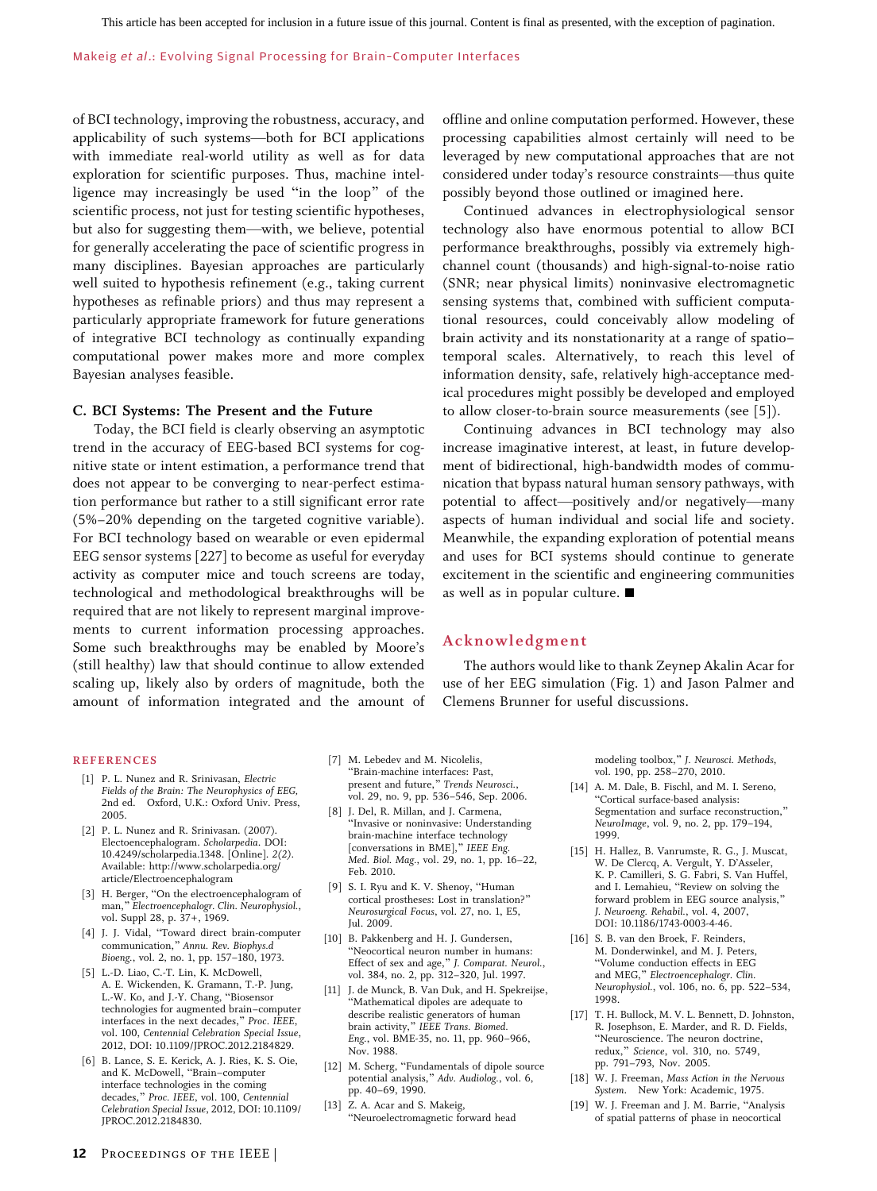of BCI technology, improving the robustness, accuracy, and applicability of such systems—both for BCI applications with immediate real-world utility as well as for data exploration for scientific purposes. Thus, machine intelligence may increasingly be used "in the loop" of the scientific process, not just for testing scientific hypotheses, but also for suggesting them—with, we believe, potential for generally accelerating the pace of scientific progress in many disciplines. Bayesian approaches are particularly well suited to hypothesis refinement (e.g., taking current hypotheses as refinable priors) and thus may represent a particularly appropriate framework for future generations of integrative BCI technology as continually expanding computational power makes more and more complex Bayesian analyses feasible.

#### C. BCI Systems: The Present and the Future

Today, the BCI field is clearly observing an asymptotic trend in the accuracy of EEG-based BCI systems for cognitive state or intent estimation, a performance trend that does not appear to be converging to near-perfect estimation performance but rather to a still significant error rate (5%–20% depending on the targeted cognitive variable). For BCI technology based on wearable or even epidermal EEG sensor systems [227] to become as useful for everyday activity as computer mice and touch screens are today, technological and methodological breakthroughs will be required that are not likely to represent marginal improvements to current information processing approaches. Some such breakthroughs may be enabled by Moore's (still healthy) law that should continue to allow extended scaling up, likely also by orders of magnitude, both the amount of information integrated and the amount of

offline and online computation performed. However, these processing capabilities almost certainly will need to be leveraged by new computational approaches that are not considered under today's resource constraints-thus quite possibly beyond those outlined or imagined here.

Continued advances in electrophysiological sensor technology also have enormous potential to allow BCI performance breakthroughs, possibly via extremely highchannel count (thousands) and high-signal-to-noise ratio (SNR; near physical limits) noninvasive electromagnetic sensing systems that, combined with sufficient computational resources, could conceivably allow modeling of brain activity and its nonstationarity at a range of spatio– temporal scales. Alternatively, to reach this level of information density, safe, relatively high-acceptance medical procedures might possibly be developed and employed to allow closer-to-brain source measurements (see [5]).

Continuing advances in BCI technology may also increase imaginative interest, at least, in future development of bidirectional, high-bandwidth modes of communication that bypass natural human sensory pathways, with potential to affect-positively and/or negatively-many aspects of human individual and social life and society. Meanwhile, the expanding exploration of potential means and uses for BCI systems should continue to generate excitement in the scientific and engineering communities as well as in popular culture.  $\blacksquare$ 

## Acknowledgment

The authors would like to thank Zeynep Akalin Acar for use of her EEG simulation (Fig. 1) and Jason Palmer and Clemens Brunner for useful discussions.

#### REFERENCES

- [1] P. L. Nunez and R. Srinivasan, Electric Fields of the Brain: The Neurophysics of EEG, 2nd ed. Oxford, U.K.: Oxford Univ. Press, 2005.
- [2] P. L. Nunez and R. Srinivasan. (2007). Electoencephalogram. Scholarpedia. DOI: 10.4249/scholarpedia.1348. [Online]. 2(2). Available: http://www.scholarpedia.org/ article/Electroencephalogram
- [3] H. Berger, "On the electroencephalogram of man," Electroencephalogr. Clin. Neurophysiol., vol. Suppl 28, p. 37+, 1969.
- [4] J. J. Vidal, "Toward direct brain-computer communication," Annu. Rev. Biophys.d Bioeng., vol. 2, no. 1, pp. 157–180, 1973.
- [5] L.-D. Liao, C.-T. Lin, K. McDowell, A. E. Wickenden, K. Gramann, T.-P. Jung, L.-W. Ko, and J.-Y. Chang, "Biosensor technologies for augmented brain–computer interfaces in the next decades," Proc. IEEE, vol. 100, Centennial Celebration Special Issue, 2012, DOI: 10.1109/JPROC.2012.2184829.
- [6] B. Lance, S. E. Kerick, A. J. Ries, K. S. Oie, and K. McDowell, "Brain-computer interface technologies in the coming decades," Proc. IEEE, vol. 100, Centennial Celebration Special Issue, 2012, DOI: 10.1109/ JPROC.2012.2184830.
- [7] M. Lebedev and M. Nicolelis. "Brain-machine interfaces: Past,<br>present and future," Trends Neurosci., vol. 29, no. 9, pp. 536–546, Sep. 2006.
- [8] J. Del, R. Millan, and J. Carmena, "Invasive or noninvasive: Understanding brain-machine interface technology<br>[conversations in BME]," *IEEE Eng*. Med. Biol. Mag., vol. 29, no. 1, pp. 16–22, Feb. 2010.
- [9] S. I. Ryu and K. V. Shenoy, "Human cortical prostheses: Lost in translation?" Neurosurgical Focus, vol. 27, no. 1, E5, Jul. 2009.
- [10] B. Pakkenberg and H. J. Gundersen, "Neocortical neuron number in humans: Effect of sex and age," J. Comparat. Neurol., vol. 384, no. 2, pp. 312–320, Jul. 1997.
- [11] J. de Munck, B. Van Duk, and H. Spekreijse, "Mathematical dipoles are adequate to describe realistic generators of human brain activity," IEEE Trans. Biomed. Eng., vol. BME-35, no. 11, pp. 960–966, Nov. 1988.
- [12] M. Scherg, "Fundamentals of dipole source<br>potential analysis," Adv. Audiolog., vol. 6, pp. 40–69, 1990.
- [13] Z. A. Acar and S. Makeig, "Neuroelectromagnetic forward head

modeling toolbox," J. Neurosci. Methods, vol. 190, pp. 258–270, 2010.

- [14] A. M. Dale, B. Fischl, and M. I. Sereno, "Cortical surface-based analysis: Segmentation and surface reconstruction," NeuroImage, vol. 9, no. 2, pp. 179–194, 1999.
- [15] H. Hallez, B. Vanrumste, R. G., J. Muscat, W. De Clercq, A. Vergult, Y. D'Asseler, K. P. Camilleri, S. G. Fabri, S. Van Huffel, and I. Lemahieu, "Review on solving the forward problem in EEG source analysis," J. Neuroeng. Rehabil., vol. 4, 2007, DOI: 10.1186/1743-0003-4-46.
- [16] S. B. van den Broek, F. Reinders, M. Donderwinkel, and M. J. Peters, "Volume conduction effects in EEG and MEG," Electroencephalogr. Clin. Neurophysiol., vol. 106, no. 6, pp. 522–534, 1998.
- [17] T. H. Bullock, M. V. L. Bennett, D. Johnston, R. Josephson, E. Marder, and R. D. Fields, "Neuroscience. The neuron doctrine, redux," Science, vol. 310, no. 5749, pp. 791–793, Nov. 2005.
- [18] W. J. Freeman, Mass Action in the Nervous System. New York: Academic, 1975.
- [19] W. J. Freeman and J. M. Barrie, "Analysis of spatial patterns of phase in neocortical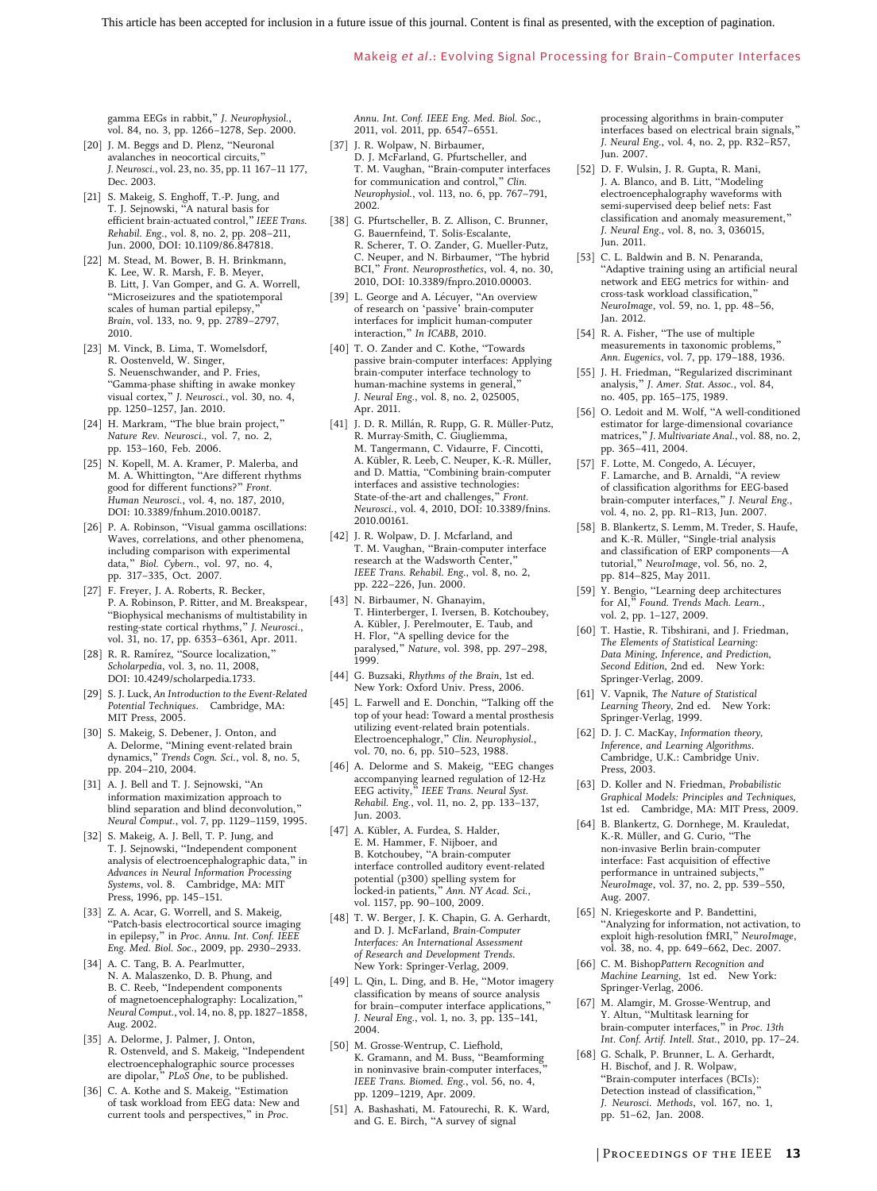gamma EEGs in rabbit," J. Neurophysiol., vol. 84, no. 3, pp. 1266–1278, Sep. 2000.

- [20] J. M. Beggs and D. Plenz, "Neuronal avalanches in neocortical circuits, J. Neurosci., vol. 23, no. 35, pp. 11 167–11 177, Dec. 2003.
- [21] S. Makeig, S. Enghoff, T.-P. Jung, and T. J. Sejnowski, "A natural basis for efficient brain-actuated control," IEEE Trans. Rehabil. Eng., vol. 8, no. 2, pp. 208–211, Jun. 2000, DOI: 10.1109/86.847818.
- [22] M. Stead, M. Bower, B. H. Brinkmann, K. Lee, W. R. Marsh, F. B. Meyer, B. Litt, J. Van Gomper, and G. A. Worrell, "Microseizures and the spatiotemporal scales of human partial epilepsy, Brain, vol. 133, no. 9, pp. 2789–2797, 2010.
- [23] M. Vinck, B. Lima, T. Womelsdorf, R. Oostenveld, W. Singer, S. Neuenschwander, and P. Fries, "Gamma-phase shifting in awake monkey visual cortex," J. Neurosci., vol. 30, no. 4, pp. 1250–1257, Jan. 2010.
- [24] H. Markram, "The blue brain project," Nature Rev. Neurosci., vol. 7, no. 2, pp. 153–160, Feb. 2006.
- [25] N. Kopell, M. A. Kramer, P. Malerba, and M. A. Whittington, "Are different rhythms good for different functions?[ Front. Human Neurosci., vol. 4, no. 187, 2010, DOI: 10.3389/fnhum.2010.00187.
- [26] P. A. Robinson, "Visual gamma oscillations: Waves, correlations, and other phenomena, including comparison with experimental data," Biol. Cybern., vol. 97, no. 4, pp. 317–335, Oct. 2007.
- [27] F. Freyer, J. A. Roberts, R. Becker, P. A. Robinson, P. Ritter, and M. Breakspear, "Biophysical mechanisms of multistability in resting-state cortical rhythms," J. Neurosci., vol. 31, no. 17, pp. 6353–6361, Apr. 2011.
- [28] R. R. Ramírez, "Source localization," Scholarpedia, vol. 3, no. 11, 2008, DOI: 10.4249/scholarpedia.1733.
- [29] S. J. Luck, An Introduction to the Event-Related Potential Techniques. Cambridge, MA: MIT Press, 2005.
- [30] S. Makeig, S. Debener, J. Onton, and A. Delorme, "Mining event-related brain<br>dynamics," *Trends Cogn. Sci.*, vol. 8, no. 5, pp. 204–210, 2004.
- [31] A. J. Bell and T. J. Sejnowski, "An information maximization approach to blind separation and blind deconvolution," Neural Comput., vol. 7, pp. 1129–1159, 1995.
- [32] S. Makeig, A. J. Bell, T. P. Jung, and T. J. Sejnowski, "Independent component analysis of electroencephalographic data," in Advances in Neural Information Processing Systems, vol. 8. Cambridge, MA: MIT Press, 1996, pp. 145–151.
- [33] Z. A. Acar, G. Worrell, and S. Makeig, "Patch-basis electrocortical source imaging in epilepsy," in Proc. Annu. Int. Conf. IEEE Eng. Med. Biol. Soc., 2009, pp. 2930–2933.
- [34] A. C. Tang, B. A. Pearlmutter, N. A. Malaszenko, D. B. Phung, and B. C. Reeb, "Independent components of magnetoencephalography: Localization,[ Neural Comput., vol. 14, no. 8, pp. 1827–1858, Aug. 2002.
- [35] A. Delorme, J. Palmer, J. Onton, R. Ostenveld, and S. Makeig, "Independent electroencephalographic source processes<br>are dipolar," PLoS One, to be published.
- [36] C. A. Kothe and S. Makeig, "Estimation of task workload from EEG data: New and current tools and perspectives," in Proc.

Annu. Int. Conf. IEEE Eng. Med. Biol. Soc., 2011, vol. 2011, pp. 6547–6551.

- [37] J. R. Wolpaw, N. Birbaumer, D. J. McFarland, G. Pfurtscheller, and T. M. Vaughan, "Brain-computer interfaces<br>for communication and control," *Clin*. Neurophysiol., vol. 113, no. 6, pp. 767–791, 2002.
- [38] G. Pfurtscheller, B. Z. Allison, C. Brunner, G. Bauernfeind, T. Solis-Escalante, R. Scherer, T. O. Zander, G. Mueller-Putz, C. Neuper, and N. Birbaumer, "The hybrid BCI," Front. Neuroprosthetics, vol. 4, no. 30, 2010, DOI: 10.3389/fnpro.2010.00003.
- [39] L. George and A. Lécuyer, "An overview of research on 'passive' brain-computer interfaces for implicit human-computer interaction," In ICABB, 2010.
- [40] T.O. Zander and C. Kothe, "Towards passive brain-computer interfaces: Applying brain-computer interface technology to human-machine systems in general J. Neural Eng., vol. 8, no. 2, 025005, Apr. 2011.
- [41] J. D. R. Millán, R. Rupp, G. R. Müller-Putz, R. Murray-Smith, C. Giugliemma, M. Tangermann, C. Vidaurre, F. Cincotti, A. Kübler, R. Leeb, C. Neuper, K.-R. Müller, and D. Mattia, "Combining brain-computer interfaces and assistive technologies: State-of-the-art and challenges," Front. Neurosci., vol. 4, 2010, DOI: 10.3389/fnins. 2010.00161.
- [42] J. R. Wolpaw, D. J. Mcfarland, and T. M. Vaughan, "Brain-computer interface research at the Wadsworth Center,' IEEE Trans. Rehabil. Eng., vol. 8, no. 2, pp. 222–226, Jun. 2000.
- [43] N. Birbaumer, N. Ghanayim, T. Hinterberger, I. Iversen, B. Kotchoubey, A. Kübler, J. Perelmouter, E. Taub, and H. Flor, "A spelling device for the<br>paralysed," Nature, vol. 398, pp. 297–298, 1999.
- [44] G. Buzsaki, Rhythms of the Brain, 1st ed. New York: Oxford Univ. Press, 2006.
- [45] L. Farwell and E. Donchin, "Talking off the top of your head: Toward a mental prosthesis utilizing event-related brain potentials. Electroencephalogr," Clin. Neurophysiol., vol. 70, no. 6, pp. 510–523, 1988.
- [46] A. Delorme and S. Makeig, "EEG changes accompanying learned regulation of 12-Hz<br>EEG activity," IEEE Trans. Neural Syst. Rehabil. Eng., vol. 11, no. 2, pp. 133–137, Jun. 2003.
- [47] A. Kübler, A. Furdea, S. Halder, E. M. Hammer, F. Nijboer, and B. Kotchoubey, "A brain-computer interface controlled auditory event-related potential (p300) spelling system for locked-in patients," Ann. NY Acad. Sci., vol. 1157, pp. 90–100, 2009.
- [48] T. W. Berger, J. K. Chapin, G. A. Gerhardt, and D. J. McFarland, Brain-Computer Interfaces: An International Assessment of Research and Development Trends. New York: Springer-Verlag, 2009.
- [49] L. Qin, L. Ding, and B. He, "Motor imagery classification by means of source analysis for brain–computer interface applications," J. Neural Eng., vol. 1, no. 3, pp. 135–141, 2004.
- [50] M. Grosse-Wentrup, C. Liefhold, K. Gramann, and M. Buss, "Beamforming in noninvasive brain-computer interfaces, IEEE Trans. Biomed. Eng., vol. 56, no. 4, pp. 1209–1219, Apr. 2009.
- [51] A. Bashashati, M. Fatourechi, R. K. Ward, and G. E. Birch, "A survey of signal

processing algorithms in brain-computer interfaces based on electrical brain signals," J. Neural Eng., vol. 4, no. 2, pp. R32–R57, Jun. 2007.

- [52] D. F. Wulsin, J. R. Gupta, R. Mani,<br>J. A. Blanco, and B. Litt, "Modeling electroencephalography waveforms with semi-supervised deep belief nets: Fast classification and anomaly measurement," J. Neural Eng., vol. 8, no. 3, 036015, Jun. 2011.
- [53] C. L. Baldwin and B. N. Penaranda, "Adaptive training using an artificial neural network and EEG metrics for within- and cross-task workload classification,[ NeuroImage, vol. 59, no. 1, pp. 48–56, Jan. 2012.
- [54] R. A. Fisher, "The use of multiple measurements in taxonomic problems," Ann. Eugenics, vol. 7, pp. 179–188, 1936.
- [55] J. H. Friedman, "Regularized discriminant analysis," J. Amer. Stat. Assoc., vol. 84, no. 405, pp. 165–175, 1989.
- [56] O. Ledoit and M. Wolf, "A well-conditioned estimator for large-dimensional covariance matrices," J. Multivariate Anal., vol. 88, no. 2, pp. 365–411, 2004.
- [57] F. Lotte, M. Congedo, A. Lécuyer, F. Lamarche, and B. Arnaldi, "A review of classification algorithms for EEG-based brain-computer interfaces," J. Neural Eng., vol. 4, no. 2, pp. R1–R13, Jun. 2007.
- [58] B. Blankertz, S. Lemm, M. Treder, S. Haufe, and K.-R. Müller, "Single-trial analysis and classification of ERP componentstutorial," NeuroImage, vol. 56, no. 2, pp. 814–825, May 2011.
- [59] Y. Bengio, "Learning deep architectures for AI," Found. Trends Mach. Learn., vol. 2, pp. 1–127, 2009.
- [60] T. Hastie, R. Tibshirani, and J. Friedman, The Elements of Statistical Learning: Data Mining, Inference, and Prediction, Second Edition, 2nd ed. New York: Springer-Verlag, 2009.
- [61] V. Vapnik, The Nature of Statistical Learning Theory, 2nd ed. New York: Springer-Verlag, 1999.
- [62] D. J. C. MacKay, Information theory, Inference, and Learning Algorithms. Cambridge, U.K.: Cambridge Univ. Press, 2003.
- [63] D. Koller and N. Friedman, Probabilistic Graphical Models: Principles and Techniques, 1st ed. Cambridge, MA: MIT Press, 2009.
- [64] B. Blankertz, G. Dornhege, M. Krauledat, K.-R. Müller, and G. Curio, "The non-invasive Berlin brain-computer interface: Fast acquisition of effective performance in untrained subjects,[ NeuroImage, vol. 37, no. 2, pp. 539–550, Aug. 2007.
- [65] N. Kriegeskorte and P. Bandettini, "Analyzing for information, not activation, to exploit high-resolution fMRI," NeuroImage, vol. 38, no. 4, pp. 649–662, Dec. 2007.
- [66] C. M. BishopPattern Recognition and Machine Learning, 1st ed. New York: Springer-Verlag, 2006.
- [67] M. Alamgir, M. Grosse-Wentrup, and Y. Altun, "Multitask learning for brain-computer interfaces," in Proc. 13th Int. Conf. Artif. Intell. Stat., 2010, pp. 17–24.
- [68] G. Schalk, P. Brunner, L. A. Gerhardt, H. Bischof, and J. R. Wolpaw, "Brain-computer interfaces (BCIs): Detection instead of classification, J. Neurosci. Methods, vol. 167, no. 1, pp. 51–62, Jan. 2008.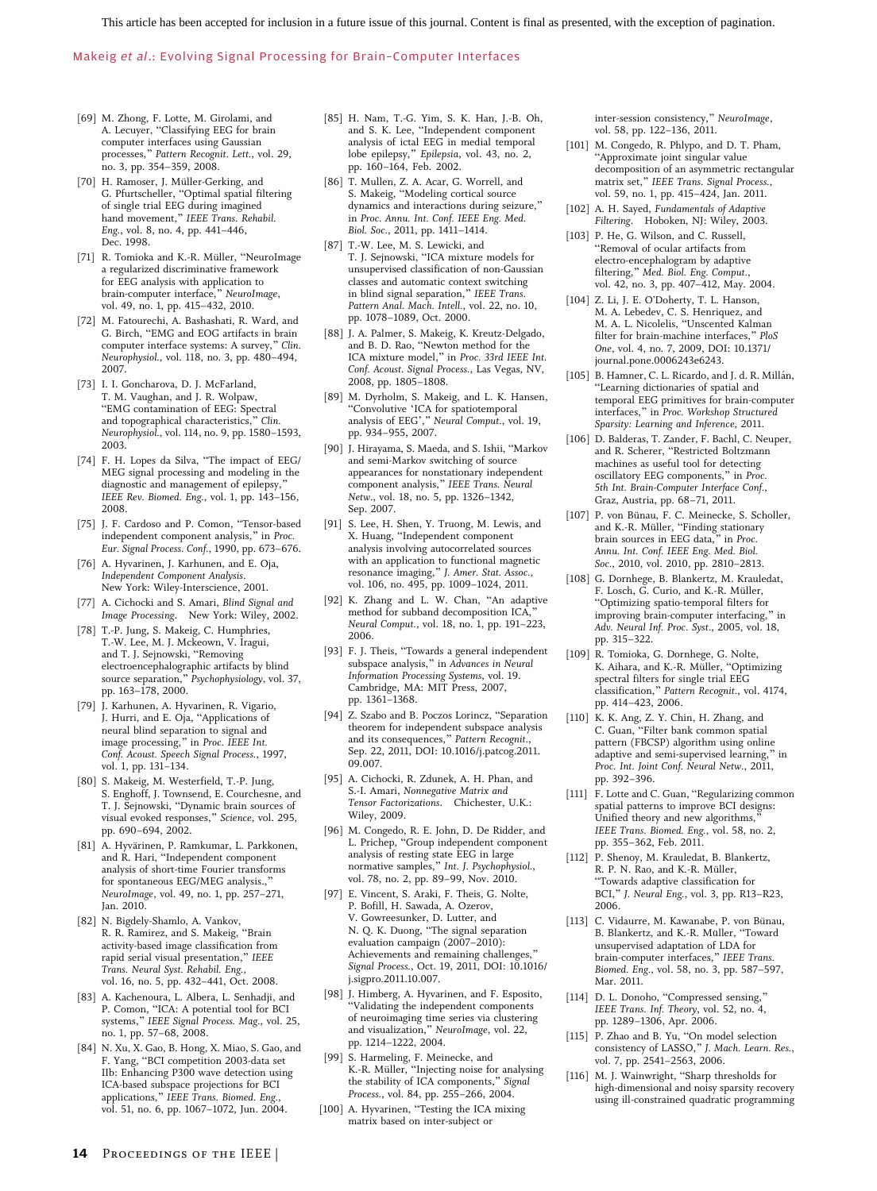#### Makeig et al.: Evolving Signal Processing for Brain–Computer Interfaces

- [69] M. Zhong, F. Lotte, M. Girolami, and<br>A. Lecuyer, "Classifying EEG for brain computer interfaces using Gaussian processes," Pattern Recognit. Lett., vol. 29, no. 3, pp. 354–359, 2008.
- [70] H. Ramoser, J. Müller-Gerking, and G. Pfurtscheller, "Optimal spatial filtering of single trial EEG during imagined hand movement," IEEE Trans. Rehabil. Eng., vol. 8, no. 4, pp. 441–446, Dec. 1998.
- [71] R. Tomioka and K.-R. Müller, "NeuroImage a regularized discriminative framework for EEG analysis with application to brain-computer interface," NeuroImage, vol. 49, no. 1, pp. 415–432, 2010.
- [72] M. Fatourechi, A. Bashashati, R. Ward, and G. Birch, "EMG and EOG artifacts in brain computer interface systems: A survey," Clin. Neurophysiol., vol. 118, no. 3, pp. 480–494, 2007.
- [73] I. I. Goncharova, D. J. McFarland, T. M. Vaughan, and J. R. Wolpaw, "EMG contamination of EEG: Spectral and topographical characteristics," Clin. Neurophysiol., vol. 114, no. 9, pp. 1580–1593, 2003.
- [74] F. H. Lopes da Silva, "The impact of EEG/ MEG signal processing and modeling in the diagnostic and management of epilepsy,[ IEEE Rev. Biomed. Eng., vol. 1, pp. 143–156, 2008.
- [75] J. F. Cardoso and P. Comon, "Tensor-based independent component analysis," in Proc. Eur. Signal Process. Conf., 1990, pp. 673–676.
- [76] A. Hyvarinen, J. Karhunen, and E. Oja, Independent Component Analysis. New York: Wiley-Interscience, 2001.
- [77] A. Cichocki and S. Amari, Blind Signal and Image Processing. New York: Wiley, 2002.
- [78] T.-P. Jung, S. Makeig, C. Humphries, T.-W. Lee, M. J. Mckeown, V. Iragui, and T. J. Sejnowski, "Removing electroencephalographic artifacts by blind source separation," Psychophysiology, vol. 37, pp. 163–178, 2000.
- [79] J. Karhunen, A. Hyvarinen, R. Vigario, J. Hurri, and E. Oja, "Applications of neural blind separation to signal and image processing," in Proc. IEEE Int. Conf. Acoust. Speech Signal Process., 1997, vol. 1, pp. 131–134.
- [80] S. Makeig, M. Westerfield, T.-P. Jung, S. Enghoff, J. Townsend, E. Courchesne, and T. J. Sejnowski, "Dynamic brain sources of visual evoked responses," Science, vol. 295, pp. 690–694, 2002.
- [81] A. Hyvärinen, P. Ramkumar, L. Parkkonen, and R. Hari, "Independent component analysis of short-time Fourier transforms for spontaneous EEG/MEG analysis., NeuroImage, vol. 49, no. 1, pp. 257–271, Jan. 2010.
- [82] N. Bigdely-Shamlo, A. Vankov, R. R. Ramirez, and S. Makeig, "Brain activity-based image classification from rapid serial visual presentation," IEEE Trans. Neural Syst. Rehabil. Eng., vol. 16, no. 5, pp. 432–441, Oct. 2008.
- [83] A. Kachenoura, L. Albera, L. Senhadji, and P. Comon, "ICA: A potential tool for BCI systems," IEEE Signal Process. Mag., vol. 25, no. 1, pp. 57–68, 2008.
- [84] N. Xu, X. Gao, B. Hong, X. Miao, S. Gao, and F. Yang, "BCI competition 2003-data set IIb: Enhancing P300 wave detection using ICA-based subspace projections for BCI applications," IEEE Trans. Biomed. Eng.,<br>vol. 51, no. 6, pp. 1067–1072, Jun. 2004.
- [85] H. Nam, T.-G. Yim, S. K. Han, J.-B. Oh, and S. K. Lee, "Independent component analysis of ictal EEG in medial temporal lobe epilepsy," Epilepsia, vol. 43, no. 2, pp. 160–164, Feb. 2002.
- [86] T. Mullen, Z. A. Acar, G. Worrell, and S. Makeig, "Modeling cortical source dynamics and interactions during seizure," in Proc. Annu. Int. Conf. IEEE Eng. Med. Biol. Soc., 2011, pp. 1411–1414.
- [87] T.-W. Lee, M. S. Lewicki, and T. J. Sejnowski, "ICA mixture models for unsupervised classification of non-Gaussian classes and automatic context switching in blind signal separation," IEEE Trans. Pattern Anal. Mach. Intell., vol. 22, no. 10, pp. 1078–1089, Oct. 2000.
- [88] J. A. Palmer, S. Makeig, K. Kreutz-Delgado, and B. D. Rao, "Newton method for the<br>ICA mixture model," in *Proc. 33rd IEEE Int.* Conf. Acoust. Signal Process., Las Vegas, NV, 2008, pp. 1805–1808.
- [89] M. Dyrholm, S. Makeig, and L. K. Hansen, "Convolutive 'ICA for spatiotemporal<br>analysis of EEG'," Neural Comput., vol. 19, pp. 934–955, 2007.
- [90] J. Hirayama, S. Maeda, and S. Ishii, "Markov and semi-Markov switching of source appearances for nonstationary independent component analysis," IEEE Trans. Neural Netw., vol. 18, no. 5, pp. 1326–1342, Sep. 2007.
- [91] S. Lee, H. Shen, Y. Truong, M. Lewis, and X. Huang, "Independent component analysis involving autocorrelated sources with an application to functional magnetic resonance imaging," J. Amer. Stat. Assoc., vol. 106, no. 495, pp. 1009–1024, 2011.
- [92] K. Zhang and L. W. Chan, "An adaptive method for subband decomposition ICA, Neural Comput., vol. 18, no. 1, pp. 191–223, 2006.
- [93] F. J. Theis, "Towards a general independent subspace analysis," in Advances in Neural Information Processing Systems, vol. 19. Cambridge, MA: MIT Press, 2007, pp. 1361–1368.
- [94] Z. Szabo and B. Poczos Lorincz, "Separation theorem for independent subspace analysis<br>and its consequences," Pattern Recognit., Sep. 22, 2011, DOI: 10.1016/j.patcog.2011. 09.007.
- [95] A. Cichocki, R. Zdunek, A. H. Phan, and S.-I. Amari, Nonnegative Matrix and Tensor Factorizations. Chichester, U.K.: Wiley, 2009.
- [96] M. Congedo, R. E. John, D. De Ridder, and L. Prichep, "Group independent component analysis of resting state EEG in large normative samples," Int. J. Psychophysiol., vol. 78, no. 2, pp. 89–99, Nov. 2010.
- [97] E. Vincent, S. Araki, F. Theis, G. Nolte, P. Bofill, H. Sawada, A. Ozerov, V. Gowreesunker, D. Lutter, and N. Q. K. Duong, "The signal separation<br>evaluation campaign (2007–2010): Achievements and remaining challenges,[ Signal Process., Oct. 19, 2011, DOI: 10.1016/ j.sigpro.2011.10.007.
- [98] J. Himberg, A. Hyvarinen, and F. Esposito, "Validating the independent components of neuroimaging time series via clustering<br>and visualization," NeuroImage, vol. 22, pp. 1214–1222, 2004.
- [99] S. Harmeling, F. Meinecke, and<br>K.-R. Müller, "Injecting noise for analysing the stability of ICA components," Signal Process., vol. 84, pp. 255–266, 2004.
- [100] A. Hyvarinen, "Testing the ICA mixing matrix based on inter-subject or

inter-session consistency," NeuroImage, vol. 58, pp. 122-136, 2011.

- [101] M. Congedo, R. Phlypo, and D. T. Pham, "Approximate joint singular value decomposition of an asymmetric rectangular matrix set," IEEE Trans. Signal Process., vol. 59, no. 1, pp. 415–424, Jan. 2011.
- [102] A. H. Sayed, Fundamentals of Adaptive Filtering. Hoboken, NJ: Wiley, 2003.
- [103] P. He, G. Wilson, and C. Russell, "Removal of ocular artifacts from electro-encephalogram by adaptive filtering," Med. Biol. Eng. Comput., vol. 42, no. 3, pp. 407–412, May. 2004.
- [104] Z. Li, J. E. O'Doherty, T. L. Hanson, M. A. Lebedev, C. S. Henriquez, and<br>M. A. L. Nicolelis, ''Unscented Kalman filter for brain-machine interfaces,"  $PloS$ One, vol. 4, no. 7, 2009, DOI: 10.1371/ journal.pone.0006243e6243.
- [105] B. Hamner, C. L. Ricardo, and J. d. R. Millán, "Learning dictionaries of spatial and temporal EEG primitives for brain-computer interfaces," in Proc. Workshop Structured Sparsity: Learning and Inference, 2011.
- [106] D. Balderas, T. Zander, F. Bachl, C. Neuper, and R. Scherer, "Restricted Boltzmann machines as useful tool for detecting oscillatory EEG components," in Proc. 5th Int. Brain-Computer Interface Conf., Graz, Austria, pp. 68–71, 2011.
- [107] P. von Bünau, F. C. Meinecke, S. Scholler, and K.-R. Müller, ''Finding stationary<br>brain sources in EEG data," in Proc. Annu. Int. Conf. IEEE Eng. Med. Biol. Soc., 2010, vol. 2010, pp. 2810–2813.
- [108] G. Dornhege, B. Blankertz, M. Krauledat, F. Losch, G. Curio, and K.-R. Müller, "Optimizing spatio-temporal filters for improving brain-computer interfacing," in Adv. Neural Inf. Proc. Syst., 2005, vol. 18, pp. 315–322.
- [109] R. Tomioka, G. Dornhege, G. Nolte, K. Aihara, and K.-R. Müller, "Optimizing spectral filters for single trial EEG classification," Pattern Recognit., vol. 4174, pp. 414–423, 2006.
- [110] K. K. Ang, Z. Y. Chin, H. Zhang, and C. Guan, BFilter bank common spatial pattern (FBCSP) algorithm using online adaptive and semi-supervised learning," in Proc. Int. Joint Conf. Neural Netw., 2011, pp. 392–396.
- [111] F. Lotte and C. Guan, "Regularizing common spatial patterns to improve BCI designs: Unified theory and new algorithms,[ IEEE Trans. Biomed. Eng., vol. 58, no. 2, pp. 355–362, Feb. 2011.
- [112] P. Shenoy, M. Krauledat, B. Blankertz, R. P. N. Rao, and K.-R. Müller, "Towards adaptive classification for BCI," J. Neural Eng., vol. 3, pp. R13-R23, 2006.
- [113] C. Vidaurre, M. Kawanabe, P. von Bünau, B. Blankertz, and K.-R. Müller, "Toward unsupervised adaptation of LDA for brain-computer interfaces," IEEE Trans. Biomed. Eng., vol. 58, no. 3, pp. 587–597, Mar. 2011.
- [114] D. L. Donoho, "Compressed sensing," IEEE Trans. Inf. Theory, vol. 52, no. 4, pp. 1289–1306, Apr. 2006.
- [115] P. Zhao and B. Yu, "On model selection consistency of LASSO," J. Mach. Learn. Res., vol. 7, pp. 2541–2563, 2006.
- [116] M. J. Wainwright, "Sharp thresholds for high-dimensional and noisy sparsity recovery using ill-constrained quadratic programming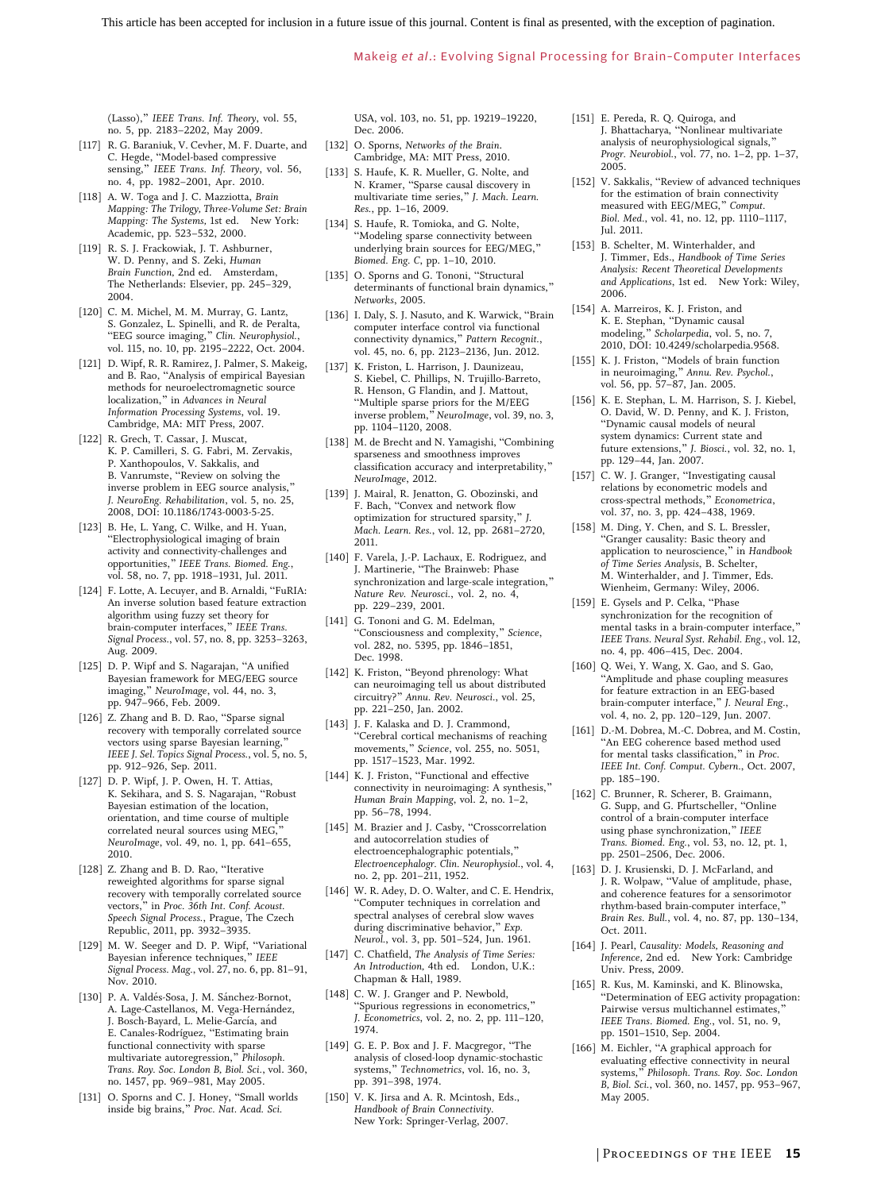(Lasso)," IEEE Trans. Inf. Theory, vol. 55, no. 5, pp. 2183–2202, May 2009.

- [117] R. G. Baraniuk, V. Cevher, M. F. Duarte, and C. Hegde, "Model-based compressive sensing," IEEE Trans. Inf. Theory, vol. 56, no. 4, pp. 1982–2001, Apr. 2010.
- [118] A. W. Toga and J. C. Mazziotta, Brain Mapping: The Trilogy, Three-Volume Set: Brain Mapping: The Systems, 1st ed. New York: Academic, pp. 523–532, 2000.
- [119] R. S. J. Frackowiak, J. T. Ashburner, W. D. Penny, and S. Zeki, Human Brain Function, 2nd ed. Amsterdam, The Netherlands: Elsevier, pp. 245–329, 2004.
- [120] C. M. Michel, M. M. Murray, G. Lantz, S. Gonzalez, L. Spinelli, and R. de Peralta, BEEG source imaging,[ Clin. Neurophysiol., vol. 115, no. 10, pp. 2195–2222, Oct. 2004.
- [121] D. Wipf, R. R. Ramirez, J. Palmer, S. Makeig, and B. Rao, "Analysis of empirical Bayesian methods for neuroelectromagnetic source localization," in Advances in Neural Information Processing Systems, vol. 19. Cambridge, MA: MIT Press, 2007.
- [122] R. Grech, T. Cassar, J. Muscat, K. P. Camilleri, S. G. Fabri, M. Zervakis, P. Xanthopoulos, V. Sakkalis, and B. Vanrumste, "Review on solving the inverse problem in EEG source analysis,[ J. NeuroEng. Rehabilitation, vol. 5, no. 25, 2008, DOI: 10.1186/1743-0003-5-25.
- [123] B. He, L. Yang, C. Wilke, and H. Yuan, "Electrophysiological imaging of brain activity and connectivity-challenges and opportunities," IEEE Trans. Biomed. Eng., vol. 58, no. 7, pp. 1918–1931, Jul. 2011.
- [124] F. Lotte, A. Lecuyer, and B. Arnaldi, "FuRIA: An inverse solution based feature extraction algorithm using fuzzy set theory for brain-computer interfaces," IEEE Trans. Signal Process., vol. 57, no. 8, pp. 3253–3263, Aug. 2009.
- [125] D. P. Wipf and S. Nagarajan, "A unified Bayesian framework for MEG/EEG source imaging,[ NeuroImage, vol. 44, no. 3, pp. 947–966, Feb. 2009.
- [126] Z. Zhang and B. D. Rao, "Sparse signal recovery with temporally correlated source vectors using sparse Bayesian learning,' IEEE J. Sel. Topics Signal Process., vol. 5, no. 5, pp. 912–926, Sep. 2011.
- [127] D. P. Wipf, J. P. Owen, H. T. Attias, K. Sekihara, and S. S. Nagarajan, "Robust Bayesian estimation of the location, orientation, and time course of multiple correlated neural sources using MEG. NeuroImage, vol. 49, no. 1, pp. 641–655, 2010.
- [128] Z. Zhang and B. D. Rao, "Iterative reweighted algorithms for sparse signal recovery with temporally correlated source vectors," in Proc. 36th Int. Conf. Acoust. Speech Signal Process., Prague, The Czech Republic, 2011, pp. 3932–3935.
- [129] M. W. Seeger and D. P. Wipf, "Variational Bayesian inference techniques," IEEE Signal Process. Mag., vol. 27, no. 6, pp. 81–91, Nov. 2010.
- [130] P. A. Valdés-Sosa, J. M. Sánchez-Bornot, A. Lage-Castellanos, M. Vega-Hernández, J. Bosch-Bayard, L. Melie-García, and E. Canales-Rodríguez, "Estimating brain functional connectivity with sparse multivariate autoregression," Philosoph. Trans. Roy. Soc. London B, Biol. Sci., vol. 360, no. 1457, pp. 969–981, May 2005.
- [131] O. Sporns and C. J. Honey, "Small worlds<br>inside big brains," Proc. Nat. Acad. Sci.

USA, vol. 103, no. 51, pp. 19219–19220, Dec. 2006.

- [132] O. Sporns, Networks of the Brain. Cambridge, MA: MIT Press, 2010.
- [133] S. Haufe, K. R. Mueller, G. Nolte, and N. Kramer, "Sparse causal discovery in multivariate time series," J. Mach. Learn. Res., pp. 1–16, 2009.
- [134] S. Haufe, R. Tomioka, and G. Nolte, "Modeling sparse connectivity between underlying brain sources for EEG/MEG," Biomed. Eng. C, pp. 1–10, 2010.
- [135] O. Sporns and G. Tononi, "Structural determinants of functional brain dynamics," Networks, 2005.
- [136] I. Daly, S. J. Nasuto, and K. Warwick, "Brain computer interface control via functional<br>connectivity dynamics," Pattern Recognit., vol. 45, no. 6, pp. 2123–2136, Jun. 2012.
- [137] K. Friston, L. Harrison, J. Daunizeau, S. Kiebel, C. Phillips, N. Trujillo-Barreto, R. Henson, G Flandin, and J. Mattout, "Multiple sparse priors for the M/EEG inverse problem," NeuroImage, vol. 39, no. 3, pp. 1104–1120, 2008.
- [138] M. de Brecht and N. Yamagishi, "Combining sparseness and smoothness improves classification accuracy and interpretability,' NeuroImage, 2012.
- [139] J. Mairal, R. Jenatton, G. Obozinski, and F. Bach, "Convex and network flow optimization for structured sparsity, Mach. Learn. Res., vol. 12, pp. 2681–2720, 2011.
- [140] F. Varela, J.-P. Lachaux, E. Rodriguez, and<br>J. Martinerie, "The Brainweb: Phase synchronization and large-scale integration," Nature Rev. Neurosci., vol. 2, no. 4, pp. 229–239, 2001.
- [141] G. Tononi and G. M. Edelman, "Consciousness and complexity," Science, vol. 282, no. 5395, pp. 1846–1851, Dec. 1998.
- [142] K. Friston, "Beyond phrenology: What can neuroimaging tell us about distributed circuitry?" Annu. Rev. Neurosci., vol. 25, pp. 221–250, Jan. 2002.
- [143] J. F. Kalaska and D. J. Crammond, BCerebral cortical mechanisms of reaching movements," Science, vol. 255, no. 5051, pp. 1517–1523, Mar. 1992.
- [144] K. J. Friston, "Functional and effective connectivity in neuroimaging: A synthesis,[ Human Brain Mapping, vol. 2, no. 1–2, pp. 56–78, 1994.
- [145] M. Brazier and J. Casby, "Crosscorrelation and autocorrelation studies of electroencephalographic potentials," Electroencephalogr. Clin. Neurophysiol., vol. 4, no. 2, pp. 201–211, 1952.
- [146] W. R. Adey, D. O. Walter, and C. E. Hendrix, "Computer techniques in correlation and spectral analyses of cerebral slow waves during discriminative behavior," Exp. Neurol., vol. 3, pp. 501–524, Jun. 1961.
- [147] C. Chatfield, The Analysis of Time Series: An Introduction, 4th ed. London, U.K.: Chapman & Hall, 1989.
- [148] C. W. J. Granger and P. Newbold, "Spurious regressions in econometrics," J. Econometrics, vol. 2, no. 2, pp. 111–120, 1974.
- [149] G. E. P. Box and J. F. Macgregor, "The analysis of closed-loop dynamic-stochastic systems," Technometrics, vol. 16, no. 3, pp. 391–398, 1974.
- [150] V. K. Jirsa and A. R. Mcintosh, Eds., Handbook of Brain Connectivity. New York: Springer-Verlag, 2007.
- [151] E. Pereda, R. Q. Quiroga, and<br>J. Bhattacharya, "Nonlinear multivariate analysis of neurophysiological signals, Progr. Neurobiol., vol. 77, no. 1–2, pp. 1–37, 2005.
- [152] V. Sakkalis, "Review of advanced techniques for the estimation of brain connectivity measured with EEG/MEG," Comput. Biol. Med., vol. 41, no. 12, pp. 1110–1117, Jul. 2011.
- [153] B. Schelter, M. Winterhalder, and J. Timmer, Eds., Handbook of Time Series Analysis: Recent Theoretical Developments and Applications, 1st ed. New York: Wiley, 2006.
- [154] A. Marreiros, K. J. Friston, and K. E. Stephan, "Dynamic causal modeling," Scholarpedia, vol. 5, no. 7, 2010, DOI: 10.4249/scholarpedia.9568.
- [155] K. J. Friston, "Models of brain function in neuroimaging,[ Annu. Rev. Psychol., vol. 56, pp. 57–87, Jan. 2005.
- [156] K. E. Stephan, L. M. Harrison, S. J. Kiebel, O. David, W. D. Penny, and K. J. Friston, "Dynamic causal models of neural system dynamics: Current state and future extensions," J. Biosci., vol. 32, no. 1, pp. 129–44, Jan. 2007.
- [157] C. W. J. Granger, "Investigating causal relations by econometric models and<br>cross-spectral methods," Econometrica, vol. 37, no. 3, pp. 424–438, 1969.
- [158] M. Ding, Y. Chen, and S. L. Bressler, "Granger causality: Basic theory and application to neuroscience," in Handbook of Time Series Analysis, B. Schelter, M. Winterhalder, and J. Timmer, Eds. Wienheim, Germany: Wiley, 2006.
- [159] E. Gysels and P. Celka, "Phase synchronization for the recognition of mental tasks in a brain-computer interface,' IEEE Trans. Neural Syst. Rehabil. Eng., vol. 12, no. 4, pp. 406–415, Dec. 2004.
- [160] Q. Wei, Y. Wang, X. Gao, and S. Gao, "Amplitude and phase coupling measures for feature extraction in an EEG-based brain-computer interface," J. Neural Eng., vol. 4, no. 2, pp. 120–129, Jun. 2007.
- [161] D.-M. Dobrea, M.-C. Dobrea, and M. Costin, "An EEG coherence based method used for mental tasks classification," in Proc. IEEE Int. Conf. Comput. Cybern., Oct. 2007, pp. 185–190.
- [162] C. Brunner, R. Scherer, B. Graimann, G. Supp, and G. Pfurtscheller, "Online control of a brain-computer interface using phase synchronization," IEEE Trans. Biomed. Eng., vol. 53, no. 12, pt. 1, pp. 2501–2506, Dec. 2006.
- [163] D. J. Krusienski, D. J. McFarland, and J. R. Wolpaw, "Value of amplitude, phase, and coherence features for a sensorimotor rhythm-based brain-computer interface,[ Brain Res. Bull., vol. 4, no. 87, pp. 130–134, Oct. 2011.
- [164] J. Pearl, Causality: Models, Reasoning and Inference, 2nd ed. New York: Cambridge Univ. Press, 2009.
- [165] R. Kus, M. Kaminski, and K. Blinowska, "Determination of EEG activity propagation: Pairwise versus multichannel estimates,' IEEE Trans. Biomed. Eng., vol. 51, no. 9, pp. 1501–1510, Sep. 2004.
- [166] M. Eichler, "A graphical approach for evaluating effective connectivity in neural<br>systems," Philosoph. Trans. Roy. Soc. London B, Biol. Sci., vol. 360, no. 1457, pp. 953–967, May 2005.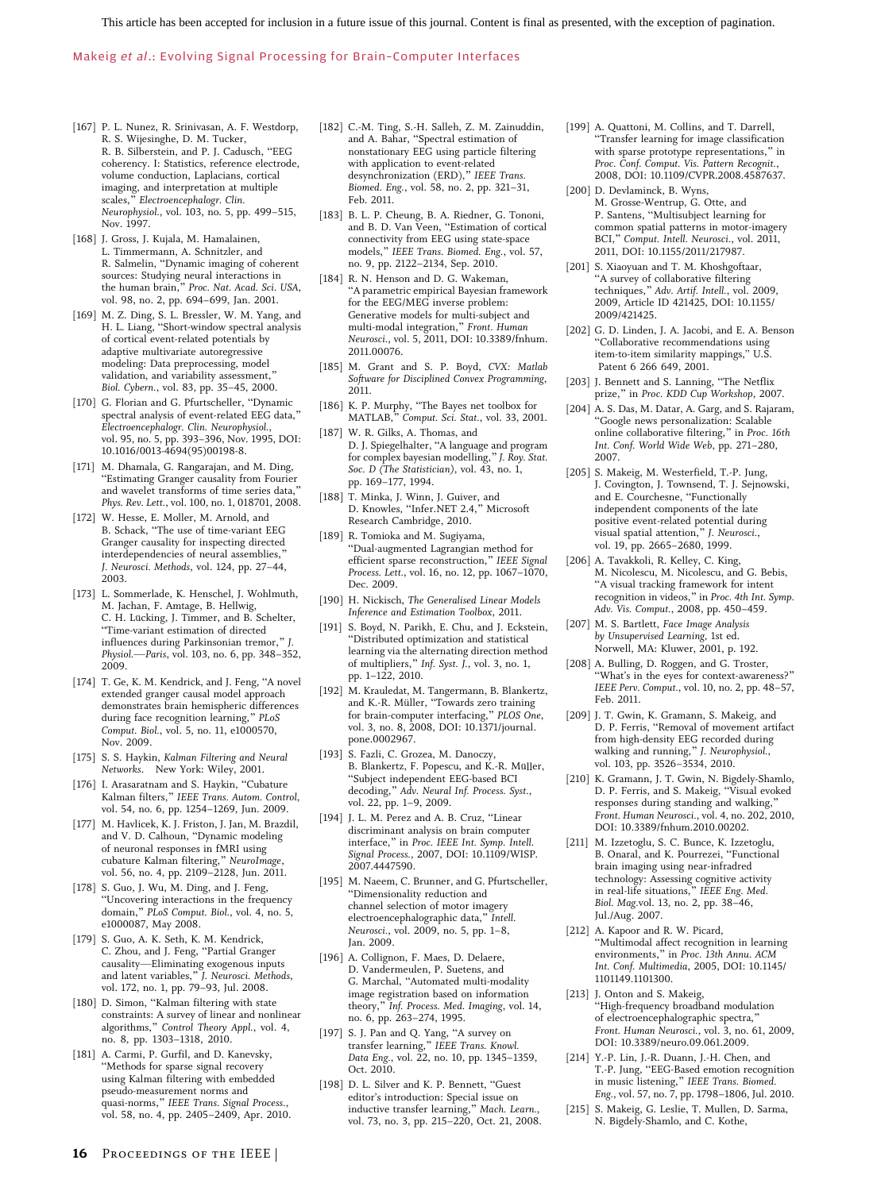- [167] P. L. Nunez, R. Srinivasan, A. F. Westdorp, R. S. Wijesinghe, D. M. Tucker, R. B. Silberstein, and P. J. Cadusch, "EEG coherency. I: Statistics, reference electrode, volume conduction, Laplacians, cortical imaging, and interpretation at multiple<br>scales," Electroencephalogr. Clin. Neurophysiol., vol. 103, no. 5, pp. 499–515, Nov. 1997.
- [168] J. Gross, J. Kujala, M. Hamalainen, L. Timmermann, A. Schnitzler, and R. Salmelin, "Dynamic imaging of coherent sources: Studying neural interactions in<br>the human brain," Proc. Nat. Acad. Sci. USA, vol. 98, no. 2, pp. 694–699, Jan. 2001.
- [169] M. Z. Ding, S. L. Bressler, W. M. Yang, and H. L. Liang, "Short-window spectral analysis of cortical event-related potentials by adaptive multivariate autoregressive modeling: Data preprocessing, model validation, and variability assessment, Biol. Cybern., vol. 83, pp. 35–45, 2000.
- [170] G. Florian and G. Pfurtscheller, "Dynamic  $s$ pectral analysis of event-related EEG data," Electroencephalogr. Clin. Neurophysiol., vol. 95, no. 5, pp. 393–396, Nov. 1995, DOI: 10.1016/0013-4694(95)00198-8.
- [171] M. Dhamala, G. Rangarajan, and M. Ding, "Estimating Granger causality from Fourier and wavelet transforms of time series data, Phys. Rev. Lett., vol. 100, no. 1, 018701, 2008.
- [172] W. Hesse, E. Moller, M. Arnold, and B. Schack, "The use of time-variant EEG Granger causality for inspecting directed interdependencies of neural assemblies, J. Neurosci. Methods, vol. 124, pp. 27–44, 2003.
- [173] L. Sommerlade, K. Henschel, J. Wohlmuth, M. Jachan, F. Amtage, B. Hellwig, C. H. Lücking, J. Timmer, and B. Schelter, "Time-variant estimation of directed influences during Parkinsonian tremor," J. Physiol.---Paris, vol. 103, no. 6, pp. 348-352, 2009.
- [174] T. Ge, K. M. Kendrick, and J. Feng, "A novel extended granger causal model approach demonstrates brain hemispheric differences during face recognition learning," PLoS Comput. Biol., vol. 5, no. 11, e1000570, Nov. 2009.
- [175] S. S. Haykin, Kalman Filtering and Neural Networks. New York: Wiley, 2001.
- [176] I. Arasaratnam and S. Haykin, "Cubature Kalman filters," IEEE Trans. Autom. Control, vol. 54, no. 6, pp. 1254–1269, Jun. 2009.
- [177] M. Havlicek, K. J. Friston, J. Jan, M. Brazdil, and V. D. Calhoun, "Dynamic modeling of neuronal responses in fMRI using cubature Kalman filtering," NeuroImage vol. 56, no. 4, pp. 2109–2128, Jun. 2011.
- [178] S. Guo, J. Wu, M. Ding, and J. Feng, "Uncovering interactions in the frequency domain," PLoS Comput. Biol., vol. 4, no. 5, e1000087, May 2008.
- [179] S. Guo, A. K. Seth, K. M. Kendrick, C. Zhou, and J. Feng, "Partial Granger causality-Eliminating exogenous inputs and latent variables," J. Neurosci. Methods, vol. 172, no. 1, pp. 79–93, Jul. 2008.
- [180] D. Simon, "Kalman filtering with state constraints: A survey of linear and nonlinear algorithms," Control Theory Appl., vol. 4, no. 8, pp. 1303–1318, 2010.
- [181] A. Carmi, P. Gurfil, and D. Kanevsky, "Methods for sparse signal recovery using Kalman filtering with embedded pseudo-measurement norms and quasi-norms," IEEE Trans. Signal Process., vol. 58, no. 4, pp. 2405–2409, Apr. 2010.
- [182] C.-M. Ting, S.-H. Salleh, Z. M. Zainuddin, and A. Bahar, "Spectral estimation of nonstationary EEG using particle filtering with application to event-related desynchronization (ERD)," IEEE Trans. Biomed. Eng., vol. 58, no. 2, pp. 321–31, Feb. 2011.
- [183] B. L. P. Cheung, B. A. Riedner, G. Tononi, and B. D. Van Veen, "Estimation of cortical connectivity from EEG using state-space<br>models," IEEE Trans. Biomed. Eng., vol. 57, no. 9, pp. 2122–2134, Sep. 2010.
- [184] R. N. Henson and D. G. Wakeman, "A parametric empirical Bayesian framework for the EEG/MEG inverse problem: Generative models for multi-subject and<br>multi-modal integration," Front. Human<br>Neurosci., vol. 5, 2011, DOI: 10.3389/fnhum. 2011.00076.
- [185] M. Grant and S. P. Boyd, CVX: Matlab Software for Disciplined Convex Programming, 2011.
- [186] K. P. Murphy, "The Bayes net toolbox for MATLAB," Comput. Sci. Stat., vol. 33, 2001.
- [187] W. R. Gilks, A. Thomas, and D. J. Spiegelhalter, "A language and program for complex bayesian modelling," J. Roy. Stat. Soc. D (The Statistician), vol. 43, no. 1, pp. 169–177, 1994.
- [188] T. Minka, J. Winn, J. Guiver, and<br>D. Knowles, "Infer.NET 2.4," Microsoft Research Cambridge, 2010.
- [189] R. Tomioka and M. Sugiyama, "Dual-augmented Lagrangian method for efficient sparse reconstruction," IEEE Signal Process. Lett., vol. 16, no. 12, pp. 1067–1070, Dec. 2009.
- [190] H. Nickisch, The Generalised Linear Models Inference and Estimation Toolbox, 2011.
- [191] S. Boyd, N. Parikh, E. Chu, and J. Eckstein, "Distributed optimization and statistical learning via the alternating direction method<br>of multipliers," *Inf. Syst. J.*, vol. 3, no. 1, pp. 1–122, 2010.
- [192] M. Krauledat, M. Tangermann, B. Blankertz, and K.-R. Müller, "Towards zero training for brain-computer interfacing," PLOS One, vol. 3, no. 8, 2008, DOI: 10.1371/journal. pone.0002967.
- [193] S. Fazli, C. Grozea, M. Danoczy, B. Blankertz, F. Popescu, and K.-R. Müller, "Subject independent EEG-based BCI decoding," Adv. Neural Inf. Process. Syst., vol. 22, pp. 1–9, 2009.
- [194] J. L. M. Perez and A. B. Cruz, "Linear discriminant analysis on brain computer interface," in Proc. IEEE Int. Symp. Intell. Signal Process., 2007, DOI: 10.1109/WISP. 2007.4447590.
- [195] M. Naeem, C. Brunner, and G. Pfurtscheller, "Dimensionality reduction and channel selection of motor imagery electroencephalographic data," Intell. Neurosci., vol. 2009, no. 5, pp. 1–8, Jan. 2009.
- [196] A. Collignon, F. Maes, D. Delaere, D. Vandermeulen, P. Suetens, and G. Marchal, "Automated multi-modality image registration based on information theory," Inf. Process. Med. Imaging, vol. 14, no. 6, pp. 263–274, 1995.
- [197] S. J. Pan and Q. Yang, "A survey on transfer learning," IEEE Trans. Knowl. Data Eng., vol. 22, no. 10, pp. 1345–1359, Oct. 2010.
- [198] D. L. Silver and K. P. Bennett, "Guest editor's introduction: Special issue on inductive transfer learning," Mach. Learn., vol. 73, no. 3, pp. 215–220, Oct. 21, 2008.
- [199] A. Quattoni, M. Collins, and T. Darrell, "Transfer learning for image classification with sparse prototype representations," in<br>Proc. Conf. Comput. Vis. Pattern Recognit., 2008, DOI: 10.1109/CVPR.2008.4587637.
- [200] D. Devlaminck, B. Wyns, M. Grosse-Wentrup, G. Otte, and P. Santens, "Multisubject learning for common spatial patterns in motor-imagery BCI," Comput. Intell. Neurosci., vol. 2011, 2011, DOI: 10.1155/2011/217987.
- [201] S. Xiaoyuan and T. M. Khoshgoftaar, BA survey of collaborative filtering techniques," Adv. Artif. Intell., vol. 2009, 2009, Article ID 421425, DOI: 10.1155/ 2009/421425.
- [202] G. D. Linden, J. A. Jacobi, and E. A. Benson "Collaborative recommendations using item-to-item similarity mappings,'' U.S. Patent 6 266 649, 2001.
- [203] J. Bennett and S. Lanning, "The Netflix<br>prize," in *Proc. KDD Cup Workshop*, 2007.
- [204] A. S. Das, M. Datar, A. Garg, and S. Rajaram, "Google news personalization: Scalable online collaborative filtering," in Proc. 16th Int. Conf. World Wide Web, pp. 271–280, 2007.
- [205] S. Makeig, M. Westerfield, T.-P. Jung, J. Covington, J. Townsend, T. J. Sejnowski, and E. Courchesne, "Functionally independent components of the late positive event-related potential during visual spatial attention," J. Neurosci., vol. 19, pp. 2665–2680, 1999.
- [206] A. Tavakkoli, R. Kelley, C. King, M. Nicolescu, M. Nicolescu, and G. Bebis, "A visual tracking framework for intent<br>recognition in videos," in Proc. 4th Int. Symp. Adv. Vis. Comput., 2008, pp. 450–459.
- [207] M. S. Bartlett, Face Image Analysis by Unsupervised Learning, 1st ed. Norwell, MA: Kluwer, 2001, p. 192.
- [208] A. Bulling, D. Roggen, and G. Troster,<br>"What's in the eyes for context-awareness?" IEEE Perv. Comput., vol. 10, no. 2, pp. 48–57, Feb. 2011.
- [209] J. T. Gwin, K. Gramann, S. Makeig, and D. P. Ferris, "Removal of movement artifact from high-density EEG recorded during walking and running," J. Neurophysiol.,<br>vol. 103, pp. 3526–3534, 2010.
- [210] K. Gramann, J. T. Gwin, N. Bigdely-Shamlo, D. P. Ferris, and S. Makeig, "Visual evoked responses during standing and walking,[ Front. Human Neurosci., vol. 4, no. 202, 2010, DOI: 10.3389/fnhum.2010.00202.
- [211] M. Izzetoglu, S. C. Bunce, K. Izzetoglu, B. Onaral, and K. Pourrezei, "Functional brain imaging using near-infradred technology: Assessing cognitive activity in real-life situations," IEEE Eng. Med. Biol. Mag.vol. 13, no. 2, pp. 38–46, Jul./Aug. 2007.
- [212] A. Kapoor and R. W. Picard,<br>"Multimodal affect recognition in learning" environments," in Proc. 13th Annu. ACM Int. Conf. Multimedia, 2005, DOI: 10.1145/ 1101149.1101300.
- [213] J. Onton and S. Makeig, "High-frequency broadband modulation of electroencephalographic spectra,[ Front. Human Neurosci., vol. 3, no. 61, 2009, DOI: 10.3389/neuro.09.061.2009.
- [214] Y.-P. Lin, J.-R. Duann, J.-H. Chen, and T.-P. Jung, "EEG-Based emotion recognition<br>in music listening," IEEE Trans. Biomed.<br>Eng., vol. 57, no. 7, pp. 1798–1806, Jul. 2010.
- [215] S. Makeig, G. Leslie, T. Mullen, D. Sarma, N. Bigdely-Shamlo, and C. Kothe,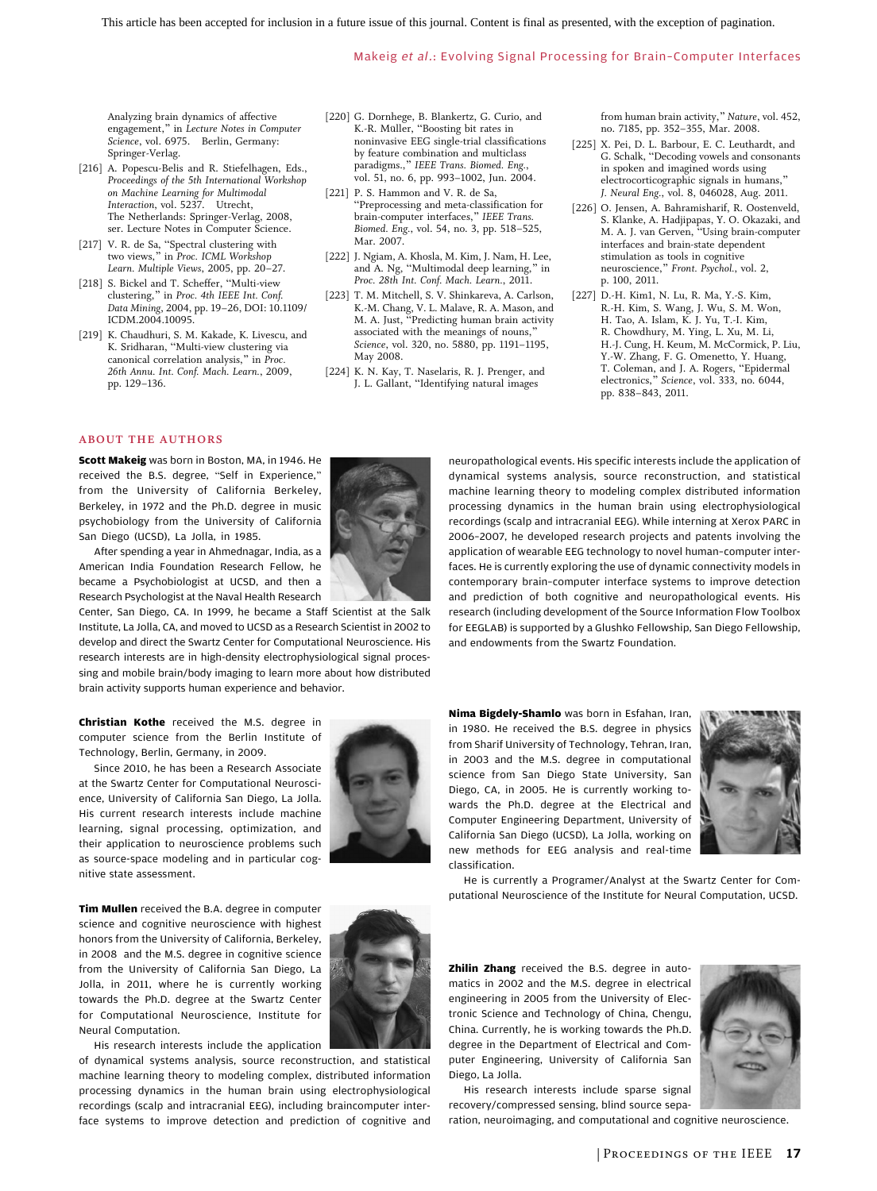Analyzing brain dynamics of affective engagement," in Lecture Notes in Computer Science, vol. 6975. Berlin, Germany: Springer-Verlag.

- [216] A. Popescu-Belis and R. Stiefelhagen, Eds., Proceedings of the 5th International Workshop on Machine Learning for Multimodal Interaction, vol. 5237. Utrecht, The Netherlands: Springer-Verlag, 2008, ser. Lecture Notes in Computer Science.
- [217] V. R. de Sa, "Spectral clustering with two views," in Proc. ICML Workshop Learn. Multiple Views, 2005, pp. 20–27.
- [218] S. Bickel and T. Scheffer, "Multi-view clustering," in Proc. 4th IEEE Int. Conf. Data Mining, 2004, pp. 19–26, DOI: 10.1109/ ICDM.2004.10095.
- [219] K. Chaudhuri, S. M. Kakade, K. Livescu, and K. Sridharan, "Multi-view clustering via canonical correlation analysis," in Proc. 26th Annu. Int. Conf. Mach. Learn., 2009, pp. 129–136.
- [220] G. Dornhege, B. Blankertz, G. Curio, and K.-R. Müller, "Boosting bit rates in noninvasive EEG single-trial classifications by feature combination and multiclass paradigms.," IEEE Trans. Biomed. Eng., vol. 51, no. 6, pp. 993–1002, Jun. 2004.
- [221] P. S. Hammon and V. R. de Sa, BPreprocessing and meta-classification for brain-computer interfaces," IEEE Trans. Biomed. Eng., vol. 54, no. 3, pp. 518–525, Mar. 2007.
- [222] J. Ngiam, A. Khosla, M. Kim, J. Nam, H. Lee, and A. Ng, "Multimodal deep learning," Proc. 28th Int. Conf. Mach. Learn., 2011.
- [223] T. M. Mitchell, S. V. Shinkareva, A. Carlson, K.-M. Chang, V. L. Malave, R. A. Mason, and M. A. Just, "Predicting human brain activity associated with the meanings of nouns,[ Science, vol. 320, no. 5880, pp. 1191–1195, May 2008.
- [224] K. N. Kay, T. Naselaris, R. J. Prenger, and J. L. Gallant, "Identifying natural images

from human brain activity," Nature, vol. 452, no. 7185, pp. 352–355, Mar. 2008.

- [225] X. Pei, D. L. Barbour, E. C. Leuthardt, and G. Schalk, "Decoding vowels and consonants in spoken and imagined words using electrocorticographic signals in humans," J. Neural Eng., vol. 8, 046028, Aug. 2011.
- [226] O. Jensen, A. Bahramisharif, R. Oostenveld, S. Klanke, A. Hadjipapas, Y. O. Okazaki, and M. A. J. van Gerven, "Using brain-computer interfaces and brain-state dependent stimulation as tools in cognitive neuroscience," Front. Psychol., vol. 2, p. 100, 2011.
- [227] D.-H. Kim1, N. Lu, R. Ma, Y.-S. Kim, R.-H. Kim, S. Wang, J. Wu, S. M. Won, H. Tao, A. Islam, K. J. Yu, T.-I. Kim, R. Chowdhury, M. Ying, L. Xu, M. Li, H.-J. Cung, H. Keum, M. McCormick, P. Liu, Y.-W. Zhang, F. G. Omenetto, Y. Huang, T. Coleman, and J. A. Rogers, "Epidermal<br>electronics," Science, vol. 333, no. 6044, pp. 838–843, 2011.

#### ABOUT THE AUTHORS

Scott Makeig was born in Boston, MA, in 1946. He received the B.S. degree, "Self in Experience," from the University of California Berkeley, Berkeley, in 1972 and the Ph.D. degree in music psychobiology from the University of California San Diego (UCSD), La Jolla, in 1985.

After spending a year in Ahmednagar, India, as a American India Foundation Research Fellow, he became a Psychobiologist at UCSD, and then a Research Psychologist at the Naval Health Research

Center, San Diego, CA. In 1999, he became a Staff Scientist at the Salk Institute, La Jolla, CA, and moved to UCSD as a Research Scientist in 2002 to develop and direct the Swartz Center for Computational Neuroscience. His research interests are in high-density electrophysiological signal processing and mobile brain/body imaging to learn more about how distributed brain activity supports human experience and behavior.

**Christian Kothe** received the M.S. degree in computer science from the Berlin Institute of Technology, Berlin, Germany, in 2009.

Since 2010, he has been a Research Associate at the Swartz Center for Computational Neuroscience, University of California San Diego, La Jolla. His current research interests include machine learning, signal processing, optimization, and their application to neuroscience problems such as source-space modeling and in particular cognitive state assessment.

**Tim Mullen** received the B.A. degree in computer science and cognitive neuroscience with highest honors from the University of California, Berkeley, in 2008 and the M.S. degree in cognitive science from the University of California San Diego, La Jolla, in 2011, where he is currently working towards the Ph.D. degree at the Swartz Center for Computational Neuroscience, Institute for Neural Computation.



His research interests include the application

of dynamical systems analysis, source reconstruction, and statistical machine learning theory to modeling complex, distributed information processing dynamics in the human brain using electrophysiological recordings (scalp and intracranial EEG), including braincomputer interface systems to improve detection and prediction of cognitive and neuropathological events. His specific interests include the application of dynamical systems analysis, source reconstruction, and statistical machine learning theory to modeling complex distributed information processing dynamics in the human brain using electrophysiological recordings (scalp and intracranial EEG). While interning at Xerox PARC in 2006–2007, he developed research projects and patents involving the application of wearable EEG technology to novel human–computer interfaces. He is currently exploring the use of dynamic connectivity models in contemporary brain–computer interface systems to improve detection and prediction of both cognitive and neuropathological events. His research (including development of the Source Information Flow Toolbox for EEGLAB) is supported by a Glushko Fellowship, San Diego Fellowship, and endowments from the Swartz Foundation.

Nima Bigdely-Shamlo was born in Esfahan, Iran, in 1980. He received the B.S. degree in physics from Sharif University of Technology, Tehran, Iran, in 2003 and the M.S. degree in computational science from San Diego State University, San Diego, CA, in 2005. He is currently working towards the Ph.D. degree at the Electrical and Computer Engineering Department, University of California San Diego (UCSD), La Jolla, working on new methods for EEG analysis and real-time classification.



He is currently a Programer/Analyst at the Swartz Center for Computational Neuroscience of the Institute for Neural Computation, UCSD.

**Zhilin Zhang** received the B.S. degree in automatics in 2002 and the M.S. degree in electrical engineering in 2005 from the University of Electronic Science and Technology of China, Chengu, China. Currently, he is working towards the Ph.D. degree in the Department of Electrical and Computer Engineering, University of California San Diego, La Jolla.



His research interests include sparse signal recovery/compressed sensing, blind source sepa-

ration, neuroimaging, and computational and cognitive neuroscience.